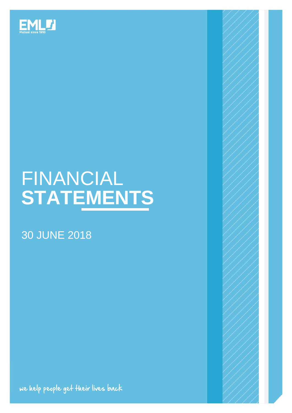

# FINANCIAL **STATEMENTS**

# 30 JUNE 2018

we help people get their lives back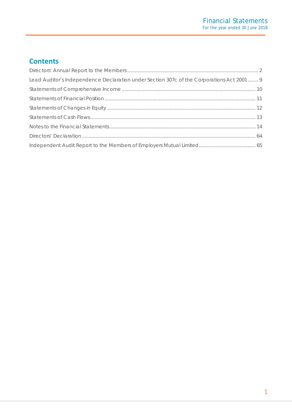# **Contents**

| Lead Auditor's Independence Declaration under Section 307c of the Corporations Act 2001 9 |  |
|-------------------------------------------------------------------------------------------|--|
|                                                                                           |  |
|                                                                                           |  |
|                                                                                           |  |
|                                                                                           |  |
|                                                                                           |  |
|                                                                                           |  |
|                                                                                           |  |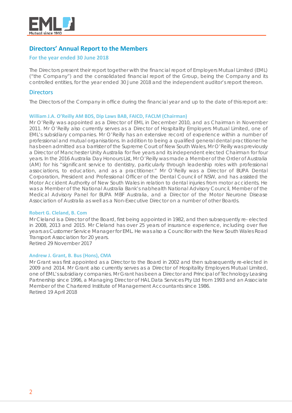

# <span id="page-2-0"></span>**Directors' Annual Report to the Members**

# **For the year ended 30 June 2018**

The Directors present their report together with the financial report of Employers Mutual Limited (EML) ("the Company") and the consolidated financial report of the Group, being the Company and its controlled entities, for the year ended 30 June 2018 and the independent auditor's report thereon.

# **Directors**

The Directors of the Company in office during the financial year and up to the date of this report are:

### **William J.A. O'Reilly AM BDS, Dip Laws BAB, FAICD, FACLM (Chairman)**

Mr O'Reilly was appointed as a Director of EML in December 2010, and as Chairman in November 2011. Mr O'Reilly also currently serves as a Director of Hospitality Employers Mutual Limited, one of EML's subsidiary companies. Mr O'Reilly has an extensive record of experience within a number of professional and mutual organisations. In addition to being a qualified general dental practitioner he has been admitted as a barrister of the Supreme Court of New South Wales, Mr O'Reilly was previously a Director of Manchester Unity Australia for five years and its independent elected Chairman for four years. In the 2016 Australia Day Honours List, Mr O'Reilly was made a Member of the Order of Australia (AM) for his "significant service to dentistry, particularly through leadership roles with professional associations, to education, and as a practitioner." Mr O'Reilly was a Director of BUPA Dental Corporation, President and Professional Officer of the Dental Council of NSW, and has assisted the Motor Accident Authority of New South Wales in relation to dental injuries from motor accidents. He was a Member of the National Australia Bank's nabhealth National Advisory Council, Member of the Medical Advisory Panel for BUPA MBF Australia, and a Director of the Motor Neurone Disease Association of Australia as well as a Non-Executive Director on a number of other Boards.

### **Robert G. Cleland, B. Com**

Mr Cleland is a Director of the Board, first being appointed in 1982, and then subsequently re- elected in 2008, 2013 and 2015. Mr Cleland has over 25 years of insurance experience, including over five years as Customer Service Manager for EML. He was also a Councillor with the New South Wales Road Transport Association for 20 years.

Retired 29 November 2017

### **Andrew J. Grant, B. Bus (Hons), CMA**

Mr Grant was first appointed as a Director to the Board in 2002 and then subsequently re-elected in 2009 and 2014. Mr Grant also currently serves as a Director of Hospitality Employers Mutual Limited, one of EML's subsidiary companies. Mr Grant has been a Director and Principal of Technology Leasing Partnership since 1996, a Managing Director of HAL Data Services Pty Ltd from 1993 and an Associate Member of the Chartered Institute of Management Accountants since 1986. Retired 19 April 2018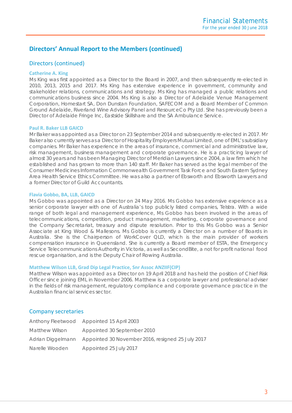# Directors (continued)

### **Catherine A. King**

Ms King was first appointed as a Director to the Board in 2007, and then subsequently re-elected in 2010, 2013, 2015 and 2017. Ms King has extensive experience in government, community and stakeholder relations, communications and strategy. Ms King has managed a public relations and communications business since 2004. Ms King is also a Director of Adelaide Venue Management Corporation, Homestart SA, Don Dunstan Foundation, SAFECOM and a Board Member of Common Ground Adelaide, Riverland Wine Advisory Panel and ResourceCo Pty Ltd. She has previously been a Director of Adelaide Fringe Inc, Eastside Skillshare and the SA Ambulance Service.

### **Paul R. Baker LLB GAICD**

Mr Baker was appointed as a Director on 23 September 2014 and subsequently re-elected in 2017. Mr Baker also currently serves as a Director of Hospitality Employers Mutual Limited, one of EML's subsidiary companies. Mr Baker has experience in the areas of insurance, commercial and administrative law, risk management, business management and corporate governance. He is a practicing lawyer of almost 30 years and has been Managing Director of Meridian Lawyers since 2004, a law firm which he established and has grown to more than 140 staff. Mr Baker has served as the legal member of the Consumer Medicines Information Commonwealth Government Task Force and South Eastern Sydney Area Health Service Ethics Committee. He was also a partner of Ebsworth and Ebsworth Lawyers and a former Director of Guild Accountants.

### **Flavia Gobbo, BA, LLB, GAICD**

Ms Gobbo was appointed as a Director on 24 May 2016. Ms Gobbo has extensive experience as a senior corporate lawyer with one of Australia's top publicly listed companies, Telstra. With a wide range of both legal and management experience, Ms Gobbo has been involved in the areas of telecommunications, competition, product management, marketing, corporate governance and the Company Secretariat, treasury and dispute resolution. Prior to this Ms Gobbo was a Senior Associate at King Wood & Mallesons. Ms Gobbo is currently a Director on a number of Boards in Australia. She is the Chairperson of WorkCover QLD, which is the main provider of workers compensation insurance in Queensland. She is currently a Board member of ESTA, the Emergency Service Telecommunications Authority in Victoria, as well as SecondBite, a not for profit national food rescue organisation, and is the Deputy Chair of Rowing Australia.

# **Matthew Wilson LLB, Grad Dip Legal Practice, Snr Assoc ANZIIF(CIP)**

Matthew Wilson was appointed as a Director on 19 April 2018 and has held the position of Chief Risk Officer since joining EML in November 2006. Matthew is a corporate lawyer and professional adviser in the fields of risk management, regulatory compliance and corporate governance practice in the Australian financial services sector.

# Company secretaries

|                | Anthony Fleetwood Appointed 15 April 2003                           |
|----------------|---------------------------------------------------------------------|
| Matthew Wilson | Appointed 30 September 2010                                         |
|                | Adrian Diggelmann Appointed 30 November 2016, resigned 25 July 2017 |
| Narelle Wooden | Appointed 25 July 2017                                              |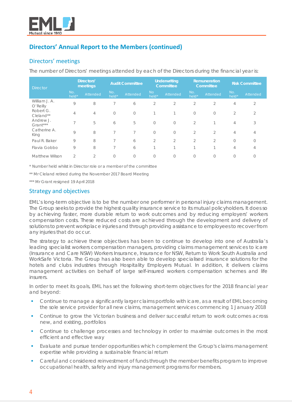

# Directors' meetings

The number of Directors' meetings attended by each of the Directors during the financial year is:

| <b>Director</b>           | Directors'<br>meetings |                | <b>Audit Committee</b> |            | <b>Underwriting</b><br>Committee |                | Remuneration<br>Committee |                | <b>Risk Committee</b> |                 |
|---------------------------|------------------------|----------------|------------------------|------------|----------------------------------|----------------|---------------------------|----------------|-----------------------|-----------------|
|                           | No.<br>held*           | Attended       | No.<br>held*           | Attended   | <b>No</b><br>held*               | Attended       | No.<br>held*              | Attended       | No.<br>held*          | <b>Attended</b> |
| William J. A.<br>O'Reilly | 9                      | 8              | 7                      | 6          | $\overline{2}$                   | 2              | 2                         | $\overline{2}$ | 4                     | $\overline{2}$  |
| Robert G.<br>Cleland**    | 4                      | 4              | $\overline{0}$         | $\bigcirc$ |                                  | h              | $\mathbf{0}$              | $\circ$        | $\mathcal{D}$         | $\mathcal{D}$   |
| Andrew J.<br>Grant***     | $\overline{7}$         | 5              | 6                      | 5          | $\circ$                          | $\overline{0}$ | 2                         |                | 4                     | 3               |
| Catherine A.<br>King      | 9                      | 8              | $\overline{7}$         |            | $\circ$                          | $\overline{0}$ | 2                         | $\overline{2}$ | 4                     | 4               |
| Paul R. Baker             | 9                      | 8              | $\overline{7}$         | 6          | $\overline{2}$                   | $\overline{2}$ | $\overline{2}$            | $\overline{2}$ | $\Omega$              | $\Omega$        |
| Flavia Gobbo              | 9                      | 8              | $\overline{7}$         | 6          | $\overline{ }$                   | h              | 4                         | $\overline{ }$ | 4                     | 4               |
| <b>Matthew Wilson</b>     | $\overline{2}$         | $\overline{2}$ | $\mathbf{0}$           | $\Omega$   | $\bigcirc$                       | $\Omega$       | $\bigcirc$                | $\mathbf{0}$   | $\Omega$              |                 |

*\* Number held whilst in Director role or a member of the committee*

\*\* Mr Cleland retired during the November 2017 Board Meeting

\*\*\* Mr Grant resigned 19 April 2018

# Strategy and objectives

EML's long-term objective is to be the number one performer in personal injury claims management. The Group seeks to provide the highest quality insurance service to its mutual policyholders. It does so by achieving faster, more durable return to work outcomes and by reducing employers' workers compensation costs. These reduced costs are achieved through the development and delivery of solutions to prevent workplace injuries and through providing assistance to employees to recover from any injuries that do occur.

The strategy to achieve these objectives has been to continue to develop into one of Australia's leading specialist workers compensation managers, providing claims management services to icare (Insurance and Care NSW) Workers Insurance, Insurance for NSW, Return to Work South Australia and WorkSafe Victoria. The Group has also been able to develop specialised insurance solutions for the hotels and clubs industries through Hospitality Employers Mutual. In addition, it delivers claims management activities on behalf of large self-insured workers compensation schemes and life insurers.

In order to meet its goals, EML has set the following short-term objectives for the 2018 financial year and beyond:

- Continue to manage a significantly larger claims portfolio with icare, as a result of EML becoming the sole service provider for all new claims, management services commencing 1 January 2018
- **•** Continue to grow the Victorian business and deliver successful return to work outcomes across new, and existing, portfolios
- Continue to challenge processes and technology in order to maximise outcomes in the most efficient and effective way
- Evaluate and pursue tender opportunities which complement the Group's claims management expertise while providing a sustainable financial return
- Careful and considered reinvestment of funds through the member benefits program to improve occupational health, safety and injury management programs for members.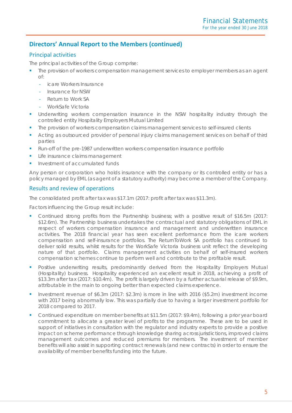# Principal activities

The principal activities of the Group comprise:

- The provision of workers compensation management services to employer members as an agent of:
	- **icare Workers Insurance**
	- Insurance for NSW
	- Return to Work SA
	- WorkSafe Victoria
- Underwriting workers compensation insurance in the NSW hospitality industry through the controlled entity Hospitality Employers Mutual Limited
- The provision of workers compensation claims management services to self-insured clients
- Acting as outsourced provider of personal injury claims management services on behalf of third parties
- Run-off of the pre-1987 underwritten workers compensation insurance portfolio
- Life insurance claims management
- Investment of accumulated funds

Any person or corporation who holds insurance with the company or its controlled entity or has a policy managed by EML (as agent of a statutory authority) may become a member of the Company.

# Results and review of operations

The consolidated profit after tax was \$17.1m (2017: profit after tax was \$11.3m).

Factors influencing the Group result include:

- Continued strong profits from the Partnership business; with a positive result of \$16.5m (2017: \$12.6m). The Partnership business undertakes the contractual and statutory obligations of EML in respect of workers compensation insurance and management and underwritten insurance activities. The 2018 financial year has seen excellent performance from the icare workers compensation and self-insurance portfolios. The ReturnToWork SA portfolio has continued to deliver solid results, whilst results for the WorkSafe Victoria business unit reflect the developing nature of that portfolio. Claims management activities on behalf of self-insured workers compensation schemes continue to perform well and contribute to the profitable result.
- **•** Positive underwriting results, predominantly derived from the Hospitality Employers Mutual (Hospitality) business. Hospitality experienced an excellent result in 2018, achieving a profit of \$13.3m after tax (2017: \$10.4m). The profit is largely driven by a further actuarial release of \$9.9m, attributable in the main to ongoing better than expected claims experience.
- Investment revenue of \$6.3m (2017: \$2.3m) is more in line with 2016 (\$5.2m) investment income with 2017 being abnormally low. This was partially due to having a larger investment portfolio for 2018 compared to 2017.
- Continued expenditure on member benefits at \$11.5m (2017: \$9.4m), following a prior year board commitment to allocate a greater level of profits to the programme. These are to be used in support of initiatives in consultation with the regulator and industry experts to provide a positive impact on scheme performance through knowledge sharing across jurisdictions, improved claims management outcomes and reduced premiums for members. The investment of member benefits will also assist in supporting contract renewals (and new contracts) in order to ensure the availability of member benefits funding into the future.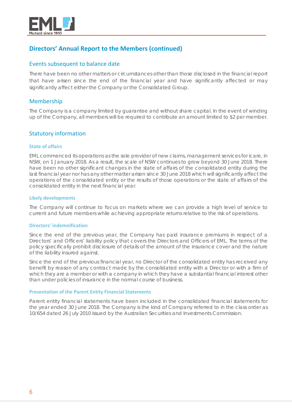

# Events subsequent to balance date

There have been no other matters or circumstances other than those disclosed in the financial report that have arisen since the end of the financial year and have significantly affected or may significantly affect either the Company or the Consolidated Group.

# Membership

The Company is a company limited by guarantee and without share capital. In the event of winding up of the Company, all members will be required to contribute an amount limited to \$2 per member.

# Statutory information

### **State of affairs**

EML commenced its operations as the sole provider of new claims, management services for icare, in NSW, on 1 January 2018. As a result, the scale of NSW continues to grow beyond 30 June 2018. There have been no other significant changes in the state of affairs of the consolidated entity during the last financial year nor has any other matter arisen since 30 June 2018 which will significantly affect the operations of the consolidated entity or the results of those operations or the state of affairs of the consolidated entity in the next financial year.

### **Likely developments**

The Company will continue to focus on markets where we can provide a high level of service to current and future members while achieving appropriate returns relative to the risk of operations.

### **Directors' indemnification**

Since the end of the previous year, the Company has paid insurance premiums in respect of a Directors' and Officers' liability policy that covers the Directors and Officers of EML. The terms of the policy specifically prohibit disclosure of details of the amount of the insurance cover and the nature of the liability insured against.

Since the end of the previous financial year, no Director of the consolidated entity has received any benefit by reason of any contract made by the consolidated entity with a Director or with a firm of which they are a member or with a company in which they have a substantial financial interest other than under policies of insurance in the normal course of business.

### **Presentation of the Parent Entity Financial Statements**

Parent entity financial statements have been included in the consolidated financial statements for the year ended 30 June 2018. The Company is the kind of Company referred to in the class order as 10/654 dated 26 July 2010 issued by the Australian Securities and Investments Commission.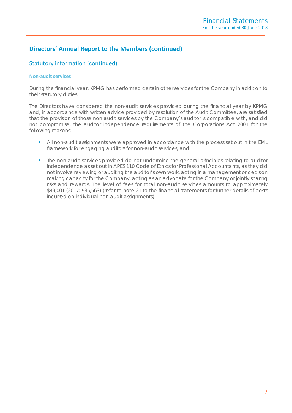# Statutory information (continued)

### **Non-audit services**

During the financial year, KPMG has performed certain other services for the Company in addition to their statutory duties.

The Directors have considered the non-audit services provided during the financial year by KPMG and, in accordance with written advice provided by resolution of the Audit Committee, are satisfied that the provision of those non audit services by the Company's auditor is compatible with, and did not compromise, the auditor independence requirements of the Corporations Act 2001 for the following reasons:

- All non-audit assignments were approved in accordance with the process set out in the EML framework for engaging auditors for non-audit services; and
- **The non-audit services provided do not undermine the general principles relating to auditor** independence as set out in APES 110 Code of Ethics for Professional Accountants, as they did not involve reviewing or auditing the auditor's own work, acting in a management or decision making capacity for the Company, acting as an advocate for the Company or jointly sharing risks and rewards. The level of fees for total non-audit services amounts to approximately \$49,001 (2017: \$35,563) (refer to note 21 to the financial statements for further details of costs incurred on individual non audit assignments).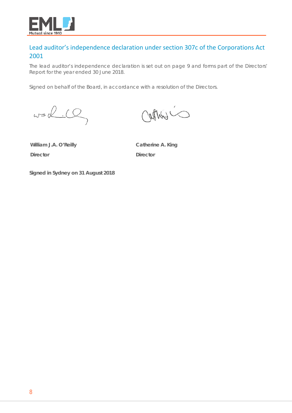

# Lead auditor's independence declaration under section 307c of the Corporations Act 2001

The lead auditor's independence declaration is set out on page 9 and forms part of the Directors' Report for the year ended 30 June 2018.

Signed on behalf of the Board, in accordance with a resolution of the Directors.

 $w=12.10$ 

**William J.A. O'Reilly Director**

**Catherine A. King Director**

**Signed in Sydney on 31 August 2018**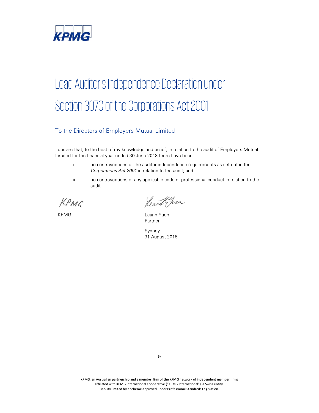

# KPMG<br>
Lead Auditor's Independence Declaration under<br>
Section 3070 of the Corporations Act 2001<br>
To the Directors of Employers Mutual Limited<br>
Heldra that, the base of thy hoodeloge and belief, in relation to the audit of E Section 307C of the Corporations Act 2001

# To the Directors of Employers Mutual Limited

I declare that, to the best of my knowledge and belief, in relation to the audit of Employers Mutual Limited for the financial year ended 30 June 2018 there have been:

- i. no contraventions of the auditor independence requirements as set out in the Corporations Act 2001 in relation to the audit; and
- ii. no contraventions of any applicable code of professional conduct in relation to the audit.

KPMG Rearch Juan

KPMG **Example 2018** Leann Yuen Partner

 ${\sf Sy}$ aney  ${\sf Sy}$ aney  ${\sf Sy}$ 31 August 2018

KPMG, an Australian partnership and a member firm of the KPMG network of independent member firms affiliated with KPMG International Cooperative ("KPMG International"), a Swiss entity. Liability limited by a scheme approved under Professional Standards Legislation.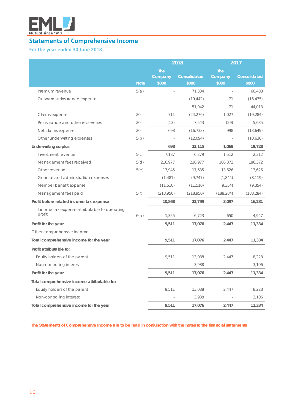

# <span id="page-10-0"></span>**Statements of Comprehensive Income**

# **For the year ended 30 June 2018**

|                                                        |             |            | 2018         | 2017       |              |  |
|--------------------------------------------------------|-------------|------------|--------------|------------|--------------|--|
|                                                        |             | <b>The</b> |              | <b>The</b> |              |  |
|                                                        |             | Company    | Consolidated | Company    | Consolidated |  |
|                                                        | <b>Note</b> | \$000      | \$000        | \$000      | \$000        |  |
| Premium revenue                                        | 5(a)        |            | 71,384       |            | 60,488       |  |
| Outwards reinsurance expense                           |             |            | (19, 442)    | 71         | (16, 475)    |  |
|                                                        |             |            | 51,942       | 71         | 44,013       |  |
| Claims expense                                         | 20          | 711        | (24, 276)    | 1,027      | (19, 284)    |  |
| Reinsurance and other recoveries                       | 20          | (13)       | 7,543        | (29)       | 5,635        |  |
| Net claims expense                                     | 20          | 698        | (16, 733)    | 998        | (13,649)     |  |
| Other underwriting expenses                            | 5(b)        |            | (12,094)     |            | (10,636)     |  |
| <b>Underwriting surplus</b>                            |             | 698        | 23,115       | 1,069      | 19,728       |  |
| Investment revenue                                     | 5(c)        | 7,187      | 6,279        | 1,512      | 2,312        |  |
| Management fees received                               | 5(d)        | 216,977    | 216,977      | 186,372    | 186,372      |  |
| Other revenue                                          | 5(e)        | 17,945     | 17,635       | 13,626     | 13,626       |  |
| General and administration expenses                    |             | (1,481)    | (9, 747)     | (1, 844)   | (8, 119)     |  |
| Member benefit expense                                 |             | (11, 510)  | (11, 510)    | (9, 354)   | (9, 354)     |  |
| Management fees paid                                   | 5(f)        | (218,950)  | (218,950)    | (188, 284) | (188, 284)   |  |
| Profit before related income tax expense               |             | 10,868     | 23,799       | 3,097      | 16,281       |  |
| Income tax expense attributable to operating<br>profit | 6(a)        | 1,355      | 6,723        | 650        | 4,947        |  |
| Profit for the year                                    |             | 9,511      | 17,076       | 2,447      | 11,334       |  |
| Other comprehensive income                             |             |            |              |            |              |  |
| Total comprehensive income for the year                |             | 9,511      | 17,076       | 2,447      | 11,334       |  |
| Profit attributable to:                                |             |            |              |            |              |  |
| Equity holders of the parent                           |             | 9,511      | 13,088       | 2,447      | 8,228        |  |
| Non-controlling interest                               |             |            | 3,988        |            | 3,106        |  |
| Profit for the year                                    |             | 9,511      | 17,076       | 2,447      | 11,334       |  |
| Total comprehensive income attributable to:            |             |            |              |            |              |  |
| Equity holders of the parent                           |             | 9,511      | 13,088       | 2,447      | 8,228        |  |
| Non-controlling interest                               |             |            | 3,988        |            | 3,106        |  |
| Total comprehensive income for the year                |             | 9,511      | 17,076       | 2,447      | 11,334       |  |

 *The Statements of Comprehensive Income are to be read in conjunction with the notes to the financial statements*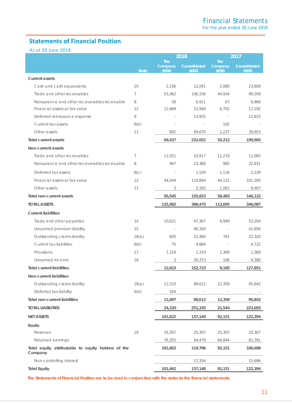# <span id="page-11-0"></span>**Statements of Financial Position**

**As at 30 June 2018**

|                                                               |                  |                       | 2018         |                       | 2017         |
|---------------------------------------------------------------|------------------|-----------------------|--------------|-----------------------|--------------|
|                                                               |                  | <b>The</b><br>Company | Consolidated | <b>The</b><br>Company | Consolidated |
|                                                               | <b>Note</b>      | \$000                 | \$000        | \$000                 | \$000        |
| <b>Current assets</b>                                         |                  |                       |              |                       |              |
| Cash and cash equivalents                                     | 25               | 2.156                 | 12,041       | 2.080                 | 23,809       |
| Trade and other receivables                                   | 7                | 53,362                | 106,156      | 44,934                | 99,209       |
| Reinsurance and other recoverables receivable                 | 8                | 58                    | 6.911        | 67                    | 6.969        |
| Financial assets at fair value                                | 12               | 12,969                | 23,949       | 6,702                 | 17,192       |
| Deferred reinsurance expense                                  | 9                |                       | 13,925       |                       | 12,833       |
| Current tax assets                                            | 6(b)             |                       |              | 192                   |              |
| Other assets                                                  | 11               | 892                   | 69,670       | 1,237                 | 39,953       |
| <b>Total current assets</b>                                   |                  | 69,437                | 232,652      | 55,212                | 199,965      |
| Non-current assets                                            |                  |                       |              |                       |              |
| Trade and other receivables                                   | 7                | 11,051                | 10,917       | 11,219                | 11,085       |
| Reinsurance and other recoverables receivable                 | 8                | 947                   | 23,368       | 965                   | 22,831       |
| Deferred tax assets                                           | 6 <sub>(c)</sub> |                       | 1,529        | 1,116                 | 2,539        |
| Financial assets at fair value                                | 12               | 44,544                | 114,844      | 44,122                | 101,200      |
| Other assets                                                  | 11               | 3                     | 5,165        | 1,061                 | 8,467        |
| Total non-current assets                                      |                  | 56,545                | 155,823      | 58,483                | 146,122      |
| <b>TOTAL ASSETS</b>                                           |                  | 125,982               | 388,475      | 113,695               | 346,087      |
| <b>Current liabilities</b>                                    |                  |                       |              |                       |              |
| Trade and other payables                                      | 14               | 10,621                | 47,367       | 6,949                 | 53,204       |
| Unearned premium liability                                    | 15               |                       | 46,320       |                       | 41,856       |
| Outstanding claims liability                                  | 16(a)            | 605                   | 22,460       | 761                   | 22,320       |
| Current tax liabilities                                       | 6(b)             | 75                    | 4,884        | $\sim$                | 4,722        |
| Provisions                                                    | 17               | 1,319                 | 1,319        | 1,369                 | 1,369        |
| Unearned income                                               | 18               | 3                     | 30,373       | 106                   | 4,380        |
| <b>Total current liabilities</b>                              |                  | 12,623                | 152,723      | 9,185                 | 127,851      |
| Non-current liabilities                                       |                  |                       |              |                       |              |
| Outstanding claims liability                                  | 16(a)            | 11,533                | 98,612       | 12,359                | 95,842       |
| Deferred tax liability                                        | 6(d)             | 164                   |              |                       |              |
| <b>Total non-current liabilities</b>                          |                  | 11,697                | 98,612       | 12,359                | 95,842       |
| <b>TOTAL LIABILITIES</b>                                      |                  | 24,320                | 251,335      | 21,544                | 223,693      |
| <b>NET ASSETS</b>                                             |                  | 101,622               | 137,140      | 92,151                | 122,394      |
| Eauitv                                                        |                  |                       |              |                       |              |
| Reserves                                                      | 19               | 25,307                | 25,307       | 25,307                | 25,307       |
| Retained earnings                                             |                  | 76,355                | 94,479       | 66,844                | 81,391       |
| Total equity attributable to equity holders of the<br>Company |                  | 101,662               | 119,786      | 92,151                | 106,698      |
| Non-controlling interest                                      |                  |                       | 17,354       | $\sim$                | 15,696       |
| <b>Total Equity</b>                                           |                  | 101,662               | 137,140      | 92,151                | 122,394      |

<span id="page-11-1"></span>*The Statements of Financial Position are to be read in conjunction with the notes to the financial statements*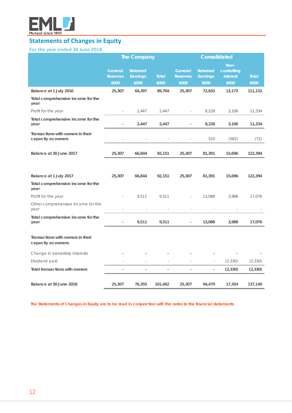

# **Statements of Changes in Equity**

# **For the year ended 30 June 2018**

|                                                          |                                            | <b>The Company</b>                          |                       | <b>Consolidated</b>                        |                                             |                                          |                |
|----------------------------------------------------------|--------------------------------------------|---------------------------------------------|-----------------------|--------------------------------------------|---------------------------------------------|------------------------------------------|----------------|
|                                                          | <b>General</b><br><b>Reserves</b><br>\$000 | <b>Retained</b><br><b>Earnings</b><br>\$000 | <b>Total</b><br>\$000 | <b>General</b><br><b>Reserves</b><br>\$000 | <b>Retained</b><br><b>Earnings</b><br>\$000 | Non-<br>controlling<br>interest<br>\$000 | Total<br>\$000 |
| Balance at 1 July 2016                                   | 25,307                                     | 64,397                                      | 89,704                | 25,307                                     | 72,653                                      | 13,172                                   | 111,132        |
| Total comprehensive income for the<br>year               |                                            |                                             |                       |                                            |                                             |                                          |                |
| Profit for the year                                      | ä,                                         | 2,447                                       | 2,447                 | ä,                                         | 8,228                                       | 3,106                                    | 11,334         |
| Total comprehensive income for the<br>year               |                                            | 2,447                                       | 2,447                 | L,                                         | 8,228                                       | 3,106                                    | 11,334         |
| Transactions with owners in their<br>capacity as owners  |                                            |                                             |                       |                                            | 510                                         | (582)                                    | (72)           |
| Balance at 30 June 2017                                  | 25,307                                     | 66,844                                      | 92,151                | 25,307                                     | 81,391                                      | 15,696                                   | 122,394        |
|                                                          |                                            |                                             |                       |                                            |                                             |                                          |                |
| Balance at 1 July 2017                                   | 25,307                                     | 66,844                                      | 92,151                | 25,307                                     | 81,391                                      | 15,696                                   | 122,394        |
| Total comprehensive income for the<br>year               |                                            |                                             |                       |                                            |                                             |                                          |                |
| Profit for the year                                      |                                            | 9,511                                       | 9,511                 |                                            | 13,088                                      | 3,988                                    | 17,076         |
| Other comprehensive income for the<br>year               |                                            |                                             |                       |                                            |                                             |                                          |                |
| Total comprehensive income for the<br>year               | $\overline{\phantom{a}}$                   | 9,511                                       | 9,511                 | $\overline{\phantom{a}}$                   | 13,088                                      | 3,988                                    | 17,076         |
| Transactions with owners in their<br>capacity as owners: |                                            |                                             |                       |                                            |                                             |                                          |                |
| Change in ownership interests                            |                                            |                                             |                       |                                            |                                             |                                          |                |
| Dividend paid                                            |                                            | ä,                                          |                       | ÷,                                         | $\overline{\phantom{a}}$                    | (2, 330)                                 | (2, 330)       |
| <b>Total transactions with owners</b>                    | $\overline{a}$                             | $\overline{a}$                              | $\overline{a}$        | $\overline{\phantom{a}}$                   | $\overline{a}$                              | (2, 330)                                 | (2, 330)       |
| Balance at 30 June 2018                                  | 25,307                                     | 76,355                                      | 101,662               | 25,307                                     | 94,479                                      | 17,354                                   | 137,140        |

*The Statements of Changes in Equity are to be read in conjunction with the notes to the financial statements*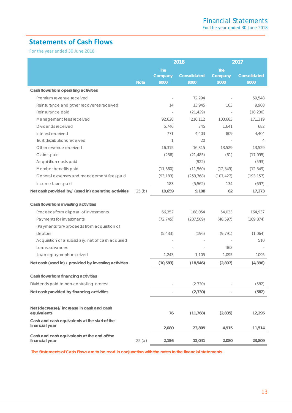# <span id="page-13-0"></span>**Statements of Cash Flows**

For the year ended 30 June 2018

|                                                                 |             |                                | 2018                  | 2017                           |                       |  |
|-----------------------------------------------------------------|-------------|--------------------------------|-----------------------|--------------------------------|-----------------------|--|
|                                                                 | <b>Note</b> | <b>The</b><br>Company<br>\$000 | Consolidated<br>\$000 | <b>The</b><br>Company<br>\$000 | Consolidated<br>\$000 |  |
| Cash flows from operating activities                            |             |                                |                       |                                |                       |  |
| Premium revenue received                                        |             | J.                             | 72,294                |                                | 59,548                |  |
| Reinsurance and other recoveries received                       |             | 14                             | 13,945                | 103                            | 9,908                 |  |
| Reinsurance paid                                                |             | $\sim$                         | (21, 429)             | $\sim$                         | (18, 230)             |  |
| Management fees received                                        |             | 92,628                         | 216,112               | 103,683                        | 171,319               |  |
| Dividends received                                              |             | 5,746                          | 745                   | 1,641                          | 682                   |  |
| Interest received                                               |             | 771                            | 4,403                 | 809                            | 4,404                 |  |
| Trust distributions received                                    |             | 1                              | 20                    |                                | $\overline{4}$        |  |
| Other revenue received                                          |             | 16,315                         | 16,315                | 13,529                         | 13,529                |  |
| Claims paid                                                     |             | (256)                          | (21, 485)             | (61)                           | (17,095)              |  |
| Acquisition costs paid                                          |             | $\sim$                         | (922)                 | $\sim$                         | (593)                 |  |
| Member benefits paid                                            |             | (11,560)                       | (11, 560)             | (12, 349)                      | (12, 349)             |  |
| General expenses and management fees paid                       |             | (93, 183)                      | (253, 768)            | (107, 427)                     | (193, 157)            |  |
| Income taxes paid                                               |             | 183                            | (5, 562)              | 134                            | (697)                 |  |
| Net cash provided by/ (used in) operating activities            | 25(b)       | 10,659                         | 9,108                 | 62                             | 17,273                |  |
| Cash flows from investing activities                            |             |                                |                       |                                |                       |  |
| Proceeds from disposal of investments                           |             | 66,352                         | 188,054               | 54,033                         | 164,937               |  |
| Payments for investments                                        |             | (72.745)                       | (207, 509)            | (48, 597)                      | (169, 874)            |  |
| (Payments for)/proceeds from acquisition of                     |             |                                |                       |                                |                       |  |
| debtors                                                         |             | (5, 433)                       | (196)                 | (9, 791)                       | (1,064)               |  |
| Acquisition of a subsidiary, net of cash acquired               |             |                                |                       |                                | 510                   |  |
| Loans advanced                                                  |             |                                |                       | 363                            |                       |  |
| Loan repayments received                                        |             | 1,243                          | 1,105                 | 1,095                          | 1095                  |  |
| Net cash (used in) / provided by investing activities           |             | (10, 583)                      | (18, 546)             | (2,897)                        | (4, 396)              |  |
| Cash flows from financing activities                            |             |                                |                       |                                |                       |  |
| Dividends paid to non-controlling interest                      |             |                                | (2.330)               |                                | (582)                 |  |
| Net cash provided by financing activities                       |             |                                | (2, 330)              | $\qquad \qquad \blacksquare$   | (582)                 |  |
|                                                                 |             |                                |                       |                                |                       |  |
| Net (decrease)/ increase in cash and cash<br>equivalents        |             | 76                             | (11, 768)             | (2,835)                        | 12,295                |  |
| Cash and cash equivalents at the start of the<br>financial year |             | 2,080                          | 23,809                | 4,915                          | 11,514                |  |
| Cash and cash equivalents at the end of the<br>financial year   | 25(a)       | 2,156                          | 12,041                | 2,080                          | 23,809                |  |

 *The Statements of Cash Flows are to be read in conjunction with the notes to the financial statements*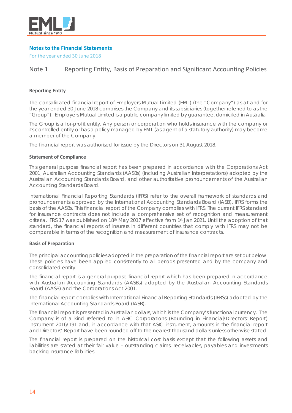

# <span id="page-14-0"></span>**Notes to the Financial Statements**

For the year ended 30 June 2018

# Note 1 Reporting Entity, Basis of Preparation and Significant Accounting Policies

### **Reporting Entity**

The consolidated financial report of Employers Mutual Limited (EML) (the "Company") as at and for the year ended 30 June 2018 comprises the Company and its subsidiaries (together referred to as the "Group"). Employers Mutual Limited is a public company limited by guarantee, domiciled in Australia.

The Group is a for-profit entity. Any person or corporation who holds insurance with the company or its controlled entity or has a policy managed by EML (as agent of a statutory authority) may become a member of the Company.

The financial report was authorised for issue by the Directors on 31 August 2018.

### **Statement of Compliance**

This general purpose financial report has been prepared in accordance with the Corporations Act 2001, Australian Accounting Standards (AASBs) (including Australian Interpretations) adopted by the Australian Accounting Standards Board, and other authoritative pronouncements of the Australian Accounting Standards Board.

International Financial Reporting Standards (IFRS) refer to the overall framework of standards and pronouncements approved by the International Accounting Standards Board (IASB). IFRS forms the basis of the AASBs. This financial report of the Company complies with IFRS. The current IFRS standard for insurance contracts does not include a comprehensive set of recognition and measurement criteria. IFRS 17 was published on 18th May 2017 effective from 1st Jan 2021. Until the adoption of that standard, the financial reports of insurers in different countries that comply with IFRS may not be comparable in terms of the recognition and measurement of insurance contracts.

### **Basis of Preparation**

The principal accounting policies adopted in the preparation of the financial report are set out below. These policies have been applied consistently to all periods presented and by the company and consolidated entity.

The financial report is a general purpose financial report which has been prepared in accordance with Australian Accounting Standards (AASBs) adopted by the Australian Accounting Standards Board (AASB) and the Corporations Act 2001.

The financial report complies with International Financial Reporting Standards (IFRSs) adopted by the International Accounting Standards Board (IASB).

The financial report is presented in Australian dollars, which is the Company's functional currency. The Company is of a kind referred to in ASIC Corporations (Rounding in Financial/Directors' Report) Instrument 2016/191 and, in accordance with that ASIC instrument, amounts in the financial report and Directors' Report have been rounded off to the nearest thousand dollars unless otherwise stated.

The financial report is prepared on the historical cost basis except that the following assets and liabilities are stated at their fair value – outstanding claims, receivables, payables and investments backing insurance liabilities.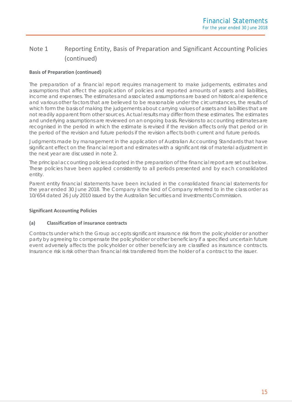# **Basis of Preparation (continued)**

The preparation of a financial report requires management to make judgements, estimates and assumptions that affect the application of policies and reported amounts of assets and liabilities, income and expenses. The estimates and associated assumptions are based on historical experience and various other factors that are believed to be reasonable under the circumstances, the results of which form the basis of making the judgements about carrying values of assets and liabilities that are not readily apparent from other sources. Actual results may differ from these estimates. The estimates and underlying assumptions are reviewed on an ongoing basis. Revisions to accounting estimates are recognised in the period in which the estimate is revised if the revision affects only that period or in the period of the revision and future periods if the revision affects both current and future periods.

Judgments made by management in the application of Australian Accounting Standards that have significant effect on the financial report and estimates with a significant risk of material adjustment in the next year are discussed in note 2.

The principal accounting policies adopted in the preparation of the financial report are set out below. These policies have been applied consistently to all periods presented and by each consolidated entity.

Parent entity financial statements have been included in the consolidated financial statements for the year ended 30 June 2018. The Company is the kind of Company referred to in the class order as 10/654 dated 26 July 2010 issued by the Australian Securities and Investments Commission.

# **Significant Accounting Policies**

### **(a) Classification of insurance contracts**

Contracts under which the Group accepts significant insurance risk from the policyholder or another party by agreeing to compensate the policyholder or other beneficiary if a specified uncertain future event adversely affects the policyholder or other beneficiary are classified as insurance contracts. Insurance risk is risk other than financial risk transferred from the holder of a contract to the issuer.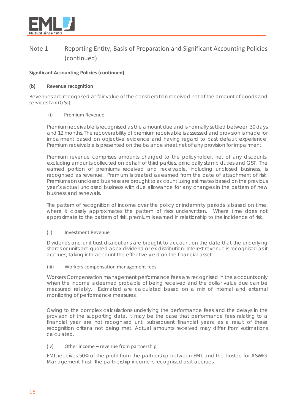

# **Significant Accounting Policies (continued)**

# **(b) Revenue recognition**

Revenues are recognised at fair value of the consideration received net of the amount of goods and services tax (GST).

### (i) Premium Revenue

Premium receivable is recognised as the amount due and is normally settled between 30 days and 12 months. The recoverability of premium receivable is assessed and provision is made for impairment based on objective evidence and having regard to past default experience. Premium receivable is presented on the balance sheet net of any provision for impairment.

Premium revenue comprises amounts charged to the policyholder, net of any discounts, excluding amounts collected on behalf of third parties, principally stamp duties and GST. The earned portion of premiums received and receivable, including unclosed business, is recognised as revenue. Premium is treated as earned from the date of attachment of risk. Premiums on unclosed business are brought to account using estimates based on the previous year's actual unclosed business with due allowance for any changes in the pattern of new business and renewals.

The pattern of recognition of income over the policy or indemnity periods is based on time, where it closely approximates the pattern of risks underwritten. Where time does not approximate to the pattern of risk, premium is earned in relationship to the incidence of risk.

### (ii) Investment Revenue

Dividends and unit trust distributions are brought to account on the date that the underlying shares or units are quoted as ex-dividend or ex-distribution. Interest revenue is recognised as it accrues, taking into account the effective yield on the financial asset.

### (iii) Workers compensation management fees

Workers Compensation management performance fees are recognised in the accounts only when the income is deemed probable of being received and the dollar value due can be measured reliably. Estimated are calculated based on a mix of internal and external monitoring of performance measures.

Owing to the complex calculations underlying the performance fees and the delays in the provision of the supporting data, it may be the case that performance fees relating to a financial year are not recognised until subsequent financial years, as a result of these recognition criteria not being met. Actual amounts received may differ from estimations calculated.

### (iv) Other income – revenue from partnership

EML receives 50% of the profit from the partnership between EML and the Trustee for ASWIG Management Trust. The partnership income is recognised as it accrues.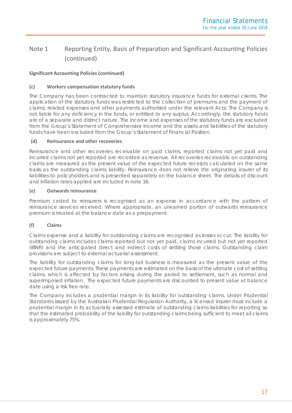# **Significant Accounting Policies (continued)**

# **(c) Workers compensation statutory funds**

The Company has been contracted to maintain statutory insurance funds for external clients. The application of the statutory funds was restricted to the collection of premiums and the payment of claims, related expenses and other payments authorised under the relevant Acts. The Company is not liable for any deficiency in the funds, or entitled to any surplus. Accordingly, the statutory funds are of a separate and distinct nature. The income and expenses of the statutory funds are excluded from the Group's Statement of Comprehensive Income and the assets and liabilities of the statutory funds have been excluded from the Group's Statement of Financial Position.

### **(d) Reinsurance and other recoveries**

Reinsurance and other recoveries receivable on paid claims, reported claims not yet paid and incurred claims not yet reported are recorded as revenue. All recoveries receivable on outstanding claims are measured as the present value of the expected future receipts calculated on the same basis as the outstanding claims liability. Reinsurance does not relieve the originating insurer of its liabilities to policyholders and is presented separately on the balance sheet. The details of discount and inflation rates applied are included in note 16.

# **(e) Outwards reinsurance**

Premium ceded to reinsurers is recognised as an expense in accordance with the pattern of reinsurance services received. Where appropriate, an unearned portion of outwards reinsurance premium is treated at the balance date as a prepayment.

# **(f) Claims**

Claims expense and a liability for outstanding claims are recognised as losses occur. The liability for outstanding claims includes claims reported but not yet paid, claims incurred but not yet reported (IBNR) and the anticipated direct and indirect costs of settling those claims. Outstanding claim provisions are subject to external actuarial assessment.

The liability for outstanding claims for long-tail business is measured as the present value of the expected future payments. These payments are estimated on the basis of the ultimate cost of settling claims, which is affected by factors arising during the period to settlement, such as normal and superimposed inflation. The expected future payments are discounted to present value at balance date using a risk free rate.

The Company includes a prudential margin in its liability for outstanding claims. Under Prudential Standards issued by the Australian Prudential Regulation Authority, a licensed insurer must include a prudential margin in its actuarially assessed estimate of outstanding claims liabilities for reporting so that the estimated probability of the liability for outstanding claims being sufficient to meet all claims is approximately 75%.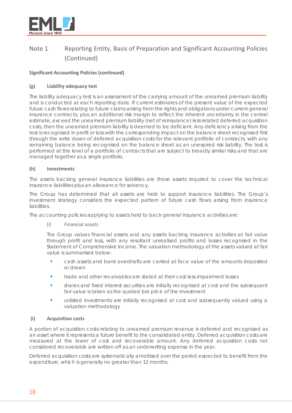

# **Significant Accounting Policies (continued)**

# **(g) Liability adequacy test**

The liability adequacy test is an assessment of the carrying amount of the unearned premium liability and is conducted at each reporting date. If current estimates of the present value of the expected future cash flows relating to future claims arising from the rights and obligations under current general insurance contracts, plus an additional risk margin to reflect the inherent uncertainty in the central estimate, exceed the unearned premium liability (net of reinsurance) less related deferred acquisition costs, then the unearned premium liability is deemed to be deficient. Any deficiency arising from the test is recognised in profit or loss with the corresponding impact on the balance sheet recognised first through the write down of deferred acquisition costs for the relevant portfolio of contracts, with any remaining balance being recognised on the balance sheet as an unexpired risk liability. The test is performed at the level of a portfolio of contracts that are subject to broadly similar risks and that are managed together as a single portfolio.

# **(h) Investments**

The assets backing general insurance liabilities are those assets required to cover the technical insurance liabilities plus an allowance for solvency.

The Group has determined that all assets are held to support insurance liabilities. The Group's investment strategy considers the expected pattern of future cash flows arising from insurance liabilities.

The accounting policies applying to assets held to back general insurance activities are:

# (i) Financial assets

The Group values financial assets and any assets backing insurance activities at fair value through profit and loss, with any resultant unrealised profits and losses recognised in the Statement of Comprehensive Income. The valuation methodology of the assets valued at fair value is summarised below:

- cash assets and bank overdrafts are carried at face value of the amounts deposited or drawn
- **the state and other receivables are stated at their cost less impairment losses**
- shares and fixed interest securities are initially recognised at cost and the subsequent fair value is taken as the quoted bid price of the investment
- unlisted investments are initially recognised at cost and subsequently valued using a valuation methodology

# **(i) Acquisition costs**

A portion of acquisition costs relating to unearned premium revenue is deferred and recognised as an asset where it represents a future benefit to the consolidated entity. Deferred acquisition costs are measured at the lower of cost and recoverable amount. Any deferred acquisition costs not considered recoverable are written off as an underwriting expense in the year.

Deferred acquisition costs are systematically amortised over the period expected to benefit from the expenditure, which is generally no greater than 12 months.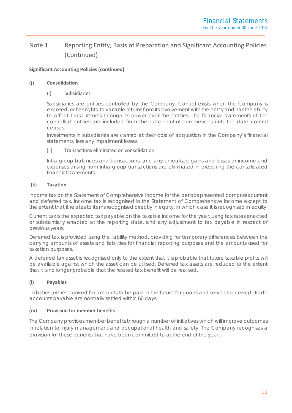# **Significant Accounting Policies (continued)**

### **(j) Consolidation**

### (i) Subsidiaries

Subsidiaries are entities controlled by the Company. Control exists when the Company is exposed, or has rights, to variable returns from its involvement with the entity and has the ability to affect those returns through its power over the entities. The financial statements of the controlled entities are included from the date control commences until the date control ceases.

Investments in subsidiaries are carried at their cost of acquisition in the Company's financial statements, less any impairment losses.

### (ii) Transactions eliminated on consolidation

Intra-group balances and transactions, and any unrealised gains and losses or income and expenses arising from intra-group transactions are eliminated in preparing the consolidated financial statements.

# **(k) Taxation**

Income tax on the Statement of Comprehensive Income for the periods presented comprises current and deferred tax. Income tax is recognised in the Statement of Comprehensive Income except to the extent that it relates to items recognised directly in equity, in which case it is recognised in equity.

Current tax is the expected tax payable on the taxable income for the year, using tax rates enacted or substantially enacted at the reporting date, and any adjustment to tax payable in respect of previous years.

Deferred tax is provided using the liability method, providing for temporary differences between the carrying amounts of assets and liabilities for financial reporting purposes and the amounts used for taxation purposes.

A deferred tax asset is recognised only to the extent that it is probable that future taxable profits will be available against which the asset can be utilised. Deferred tax assets are reduced to the extent that it is no longer probable that the related tax benefit will be realised.

# **(l) Payables**

Liabilities are recognised for amounts to be paid in the future for goods and services received. Trade accounts payable are normally settled within 60 days.

# **(m) Provision for member benefits**

The Company provides member benefits through a number of initiatives which will improve outcomes in relation to injury management and occupational health and safety. The Company recognises a provision for those benefits that have been committed to at the end of the year.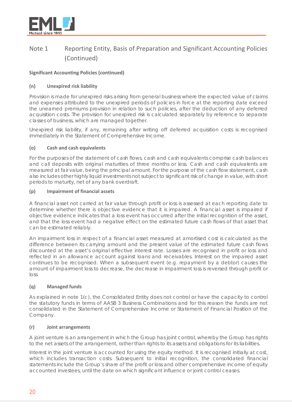

# **Significant Accounting Policies (continued)**

# **(n) Unexpired risk liability**

Provision is made for unexpired risks arising from general business where the expected value of claims and expenses attributed to the unexpired periods of policies in force at the reporting date exceed the unearned premiums provision in relation to such policies, after the deduction of any deferred acquisition costs. The provision for unexpired risk is calculated separately by reference to separate classes of business, which are managed together.

Unexpired risk liability, if any, remaining after writing off deferred acquisition costs is recognised immediately in the Statement of Comprehensive Income.

# **(o) Cash and cash equivalents**

For the purposes of the statement of cash flows, cash and cash equivalents comprise cash balances and call deposits with original maturities of three months or less. Cash and cash equivalents are measured at fair value, being the principal amount. For the purpose of the cash flow statement, cash also includes other highly liquid investments not subject to significant risk of change in value, with short periods to maturity, net of any bank overdraft.

### **(p) Impairment of financial assets**

A financial asset not carried at fair value through profit or loss is assessed at each reporting date to determine whether there is objective evidence that it is impaired. A financial asset is impaired if objective evidence indicates that a loss event has occurred after the initial recognition of the asset, and that the loss event had a negative effect on the estimated future cash flows of that asset that can be estimated reliably.

An impairment loss in respect of a financial asset measured at amortised cost is calculated as the difference between its carrying amount and the present value of the estimated future cash flows discounted at the asset's original effective interest rate. Losses are recognised in profit or loss and reflected in an allowance account against loans and receivables. Interest on the impaired asset continues to be recognised. When a subsequent event (e.g. repayment by a debtor) causes the amount of impairment loss to decrease, the decrease in impairment loss is reversed through profit or loss.

# **(q) Managed funds**

As explained in note 1(c), the Consolidated Entity does not control or have the capacity to control the statutory funds in terms of AASB 3 Business Combinations and for this reason the funds are not consolidated in the Statement of Comprehensive Income or Statement of Financial Position of the Company.

# **(r) Joint arrangements**

A joint venture is an arrangement in which the Group has joint control, whereby the Group has rights to the net assets of the arrangement, rather than rights to its assets and obligations for its liabilities.

Interest in the joint venture is accounted for using the equity method. It is recognised initially at cost, which includes transaction costs. Subsequent to initial recognition, the consolidated financial statements include the Group's share of the profit or loss and other comprehensive income of equity accounted investees, until the date on which significant influence or joint control ceases.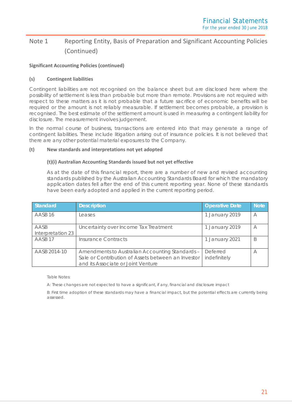# **Significant Accounting Policies (continued)**

### **(s) Contingent liabilities**

Contingent liabilities are not recognised on the balance sheet but are disclosed here where the possibility of settlement is less than probable but more than remote. Provisions are not required with respect to these matters as it is not probable that a future sacrifice of economic benefits will be required or the amount is not reliably measurable. If settlement becomes probable, a provision is recognised. The best estimate of the settlement amount is used in measuring a contingent liability for disclosure. The measurement involves judgement.

In the normal course of business, transactions are entered into that may generate a range of contingent liabilities. These include litigation arising out of insurance policies. It is not believed that there are any other potential material exposures to the Company.

### **(t) New standards and interpretations not yet adopted**

### **(t)(i) Australian Accounting Standards issued but not yet effective**

As at the date of this financial report, there are a number of new and revised accounting standards published by the Australian Accounting Standards Board for which the mandatory application dates fell after the end of this current reporting year. None of these standards have been early adopted and applied in the current reporting period.

| <b>Standard</b>           | <b>Description</b>                                                                                                                          | <b>Operative Date</b>    | <b>Note</b> |
|---------------------------|---------------------------------------------------------------------------------------------------------------------------------------------|--------------------------|-------------|
| AASB <sub>16</sub>        | Leases                                                                                                                                      | 1 January 2019           | $\forall$   |
| AASB<br>Interpretation 23 | Uncertainty over Income Tax Treatment                                                                                                       | 1 January 2019           | A           |
| AASB <sub>17</sub>        | <b>Insurance Contracts</b>                                                                                                                  | 1 January 2021           | B           |
| AASB 2014-10              | Amendments to Australian Accounting Standards -<br>Sale or Contribution of Assets between an Investor<br>and its Associate or Joint Venture | Deferred<br>indefinitely | А           |

Table Notes:

A: These changes are not expected to have a significant, if any, financial and disclosure impact

B: First time adoption of these standards may have a financial impact, but the potential effects are currently being assessed.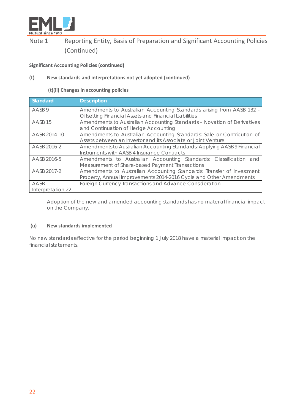

# **Significant Accounting Policies (continued)**

# **(t) New standards and interpretations not yet adopted (continued)**

**(t)(ii) Changes in accounting policies**

| Standard                  | <b>Description</b>                                                                                                                          |
|---------------------------|---------------------------------------------------------------------------------------------------------------------------------------------|
| AASB 9                    | Amendments to Australian Accounting Standards arising from AASB 132 -<br>Offsetting Financial Assets and Financial Liabilities              |
| AASB <sub>15</sub>        | Amendments to Australian Accounting Standards - Novation of Derivatives<br>and Continuation of Hedge Accounting                             |
| AASB 2014-10              | Amendments to Australian Accounting Standards: Sale or Contribution of<br>Assets between an Investor and its Associate or Joint Venture     |
| AASB 2016-2               | Amendments to Australian Accounting Standards: Applying AASB 9 Financial<br>Instruments with AASB 4 Insurance Contracts                     |
| AASB 2016-5               | Amendments to Australian Accounting Standards: Classification and<br>Measurement of Share-based Payment Transactions                        |
| AASB 2017-2               | Amendments to Australian Accounting Standards: Transfer of Investment<br>Property, Annual Improvements 2014-2016 Cycle and Other Amendments |
| AASB<br>Interpretation 22 | Foreign Currency Transactions and Advance Consideration                                                                                     |

Adoption of the new and amended accounting standards has no material financial impact on the Company.

# **(u) New standards implemented**

No new standards effective for the period beginning 1 July 2018 have a material impact on the financial statements.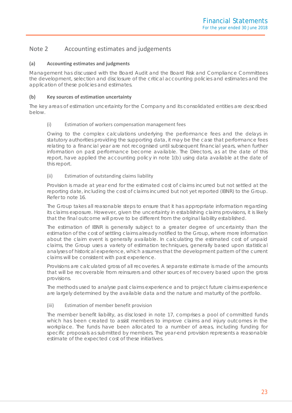# Note 2 Accounting estimates and judgements

# **(a) Accounting estimates and judgments**

Management has discussed with the Board Audit and the Board Risk and Compliance Committees the development, selection and disclosure of the critical accounting policies and estimates and the application of these policies and estimates.

# **(b) Key sources of estimation uncertainty**

The key areas of estimation uncertainty for the Company and its consolidated entities are described below.

### (i) Estimation of workers compensation management fees

Owing to the complex calculations underlying the performance fees and the delays in statutory authorities providing the supporting data, it may be the case that performance fees relating to a financial year are not recognised until subsequent financial years, when further information on past performance become available. The Directors, as at the date of this report, have applied the accounting policy in note 1(b) using data available at the date of this report.

### (ii) Estimation of outstanding claims liability

Provision is made at year end for the estimated cost of claims incurred but not settled at the reporting date, including the cost of claims incurred but not yet reported (IBNR) to the Group. Refer to note 16.

The Group takes all reasonable steps to ensure that it has appropriate information regarding its claims exposure. However, given the uncertainty in establishing claims provisions, it is likely that the final outcome will prove to be different from the original liability established.

The estimation of IBNR is generally subject to a greater degree of uncertainty than the estimation of the cost of settling claims already notified to the Group, where more information about the claim event is generally available. In calculating the estimated cost of unpaid claims, the Group uses a variety of estimation techniques, generally based upon statistical analyses of historical experience, which assumes that the development pattern of the current claims will be consistent with past experience.

Provisions are calculated gross of all recoveries. A separate estimate is made of the amounts that will be recoverable from reinsurers and other sources of recovery based upon the gross provisions.

The methods used to analyse past claims experience and to project future claims experience are largely determined by the available data and the nature and maturity of the portfolio.

### (iii) Estimation of member benefit provision

The member benefit liability, as disclosed in note 17, comprises a pool of committed funds which has been created to assist members to improve claims and injury outcomes in the workplace. The funds have been allocated to a number of areas, including funding for specific proposals as submitted by members. The year-end provision represents a reasonable estimate of the expected cost of these initiatives.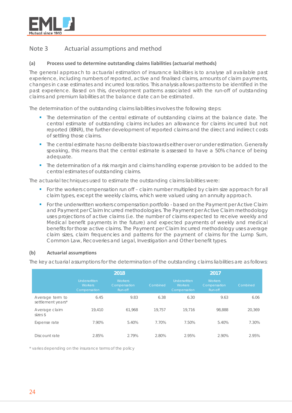

# Note 3 Actuarial assumptions and method

### **(a) Process used to determine outstanding claims liabilities (actuarial methods)**

The general approach to actuarial estimation of insurance liabilities is to analyse all available past experience, including numbers of reported, active and finalised claims, amounts of claim payments, changes in case estimates and incurred loss ratios. This analysis allows patterns to be identified in the past experience. Based on this, development patterns associated with the run-off of outstanding claims and premium liabilities at the balance date can be estimated.

The determination of the outstanding claims liabilities involves the following steps:

- The determination of the central estimate of outstanding claims at the balance date. The central estimate of outstanding claims includes an allowance for claims incurred but not reported (IBNR), the further development of reported claims and the direct and indirect costs of settling those claims.
- The central estimate has no deliberate bias towards either over or under estimation. Generally speaking, this means that the central estimate is assessed to have a 50% chance of being adequate.
- The determination of a risk margin and claims handling expense provision to be added to the central estimates of outstanding claims.

The actuarial techniques used to estimate the outstanding claims liabilities were:

- For the workers compensation run off claim number multiplied by claim size approach for all claim types, except the weekly claims, which were valued using an annuity approach.
- For the underwritten workers compensation portfolio based on the Payment per Active Claim and Payment per Claim Incurred methodologies. The Payment per Active Claim methodology uses projections of active claims (i.e. the number of claims expected to receive weekly and Medical benefit payments in the future) and expected payments of weekly and medical benefits for those active claims. The Payment per Claim Incurred methodology uses average claim sizes, claim frequencies and patterns for the payment of claims for the Lump Sum, Common Law, Recoveries and Legal, Investigation and Other benefit types.

### **(b) Actuarial assumptions**

The key actuarial assumptions for the determination of the outstanding claims liabilities are as follows:

|                                      |                                                       | 2018                                      |          | 2017                                                  |                                           |          |  |
|--------------------------------------|-------------------------------------------------------|-------------------------------------------|----------|-------------------------------------------------------|-------------------------------------------|----------|--|
|                                      | <b>Underwritten</b><br><b>Workers</b><br>Compensation | <b>Workers</b><br>Compensation<br>Run-off | Combined | <b>Underwritten</b><br><b>Workers</b><br>Compensation | <b>Workers</b><br>Compensation<br>Run-off | Combined |  |
| Average term to<br>settlement years* | 6.45                                                  | 9.83                                      | 6.38     | 6.30                                                  | 9.63                                      | 6.06     |  |
| Average claim<br>sizes \$            | 19,410                                                | 61.968                                    | 19.757   | 19.716                                                | 98.888                                    | 20.369   |  |
| Expense rate                         | 7.90%                                                 | 5.40%                                     | 7.70%    | 7.50%                                                 | 5.40%                                     | 7.30%    |  |
| Discount rate                        | 2.85%                                                 | 2.79%                                     | 2.80%    | 2.95%                                                 | 2.90%                                     | 2.95%    |  |

*\* varies depending on the insurance terms of the policy*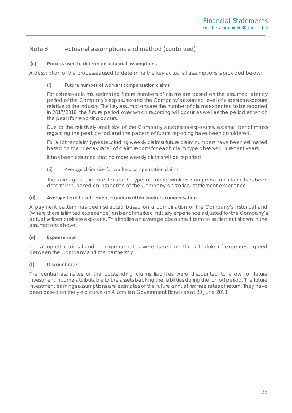# Note 3 Actuarial assumptions and method (continued)

# **(c) Process used to determine actuarial assumptions**

A description of the processes used to determine the key actuarial assumptions is provided below:

# (i) Future number of workers compensation claims

For asbestos claims, estimated future numbers of claims are based on the assumed latency period of the Company's exposures and the Company's assumed level of asbestos exposure relative to the industry. The key assumptions are the number of claims expected to be reported in 2017/2018, the future period over which reporting will occur as well as the period at which the peak for reporting occurs.

Due to the relatively small size of the Company's asbestos exposures, external benchmarks regarding the peak period and the pattern of future reporting have been considered.

For all other claim types (excluding weekly claims) future claim numbers have been estimated based on the "decay rate" of claim reports for each claim type observed in recent years.

It has been assumed that no more weekly claims will be reported.

### (ii) Average claim size for workers compensation claims

The average claim size for each type of future workers compensation claim has been determined based on inspection of the Company's historical settlement experience.

# **(d) Average term to settlement – underwritten workers compensation**

A payment pattern has been selected based on a combination of the Company's historical and (where there is limited experience) on benchmarked industry experience adjusted for the Company's actual written business exposure. This implies an average discounted term to settlement shown in the assumptions above.

# **(e) Expense rate**

The adopted claims handling expense rates were based on the schedule of expenses agreed between the Company and the partnership.

# **(f) Discount rate**

The central estimates of the outstanding claims liabilities were discounted to allow for future investment income attributable to the assets backing the liabilities during the run off period. The future investment earnings assumptions are estimates of the future annual risk free rates of return. They have been based on the yield curve on Australian Government Bonds as at 30 June 2018.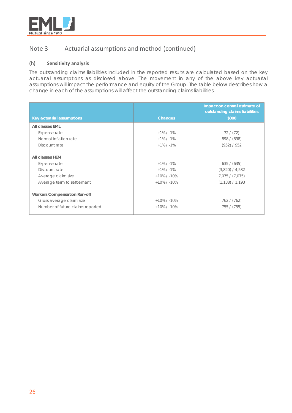

# Note 3 Actuarial assumptions and method (continued)

# **(h) Sensitivity analysis**

The outstanding claims liabilities included in the reported results are calculated based on the key actuarial assumptions as disclosed above. The movement in any of the above key actuarial assumptions will impact the performance and equity of the Group. The table below describes how a change in each of the assumptions will affect the outstanding claims liabilities.

|                                                                        |                                                   | Impact on central estimate of<br>outstanding claims liabilities |
|------------------------------------------------------------------------|---------------------------------------------------|-----------------------------------------------------------------|
| Key actuarial assumptions                                              | <b>Changes</b>                                    | \$000                                                           |
| All classes EML                                                        |                                                   |                                                                 |
| Expense rate                                                           | $+1\%$ / $-1\%$                                   | 72/(72)                                                         |
| Normal inflation rate                                                  | $+1\%$ / $-1\%$                                   | 898 / (898)                                                     |
| Discount rate                                                          | $+1\%$ / $-1\%$                                   | (952) / 952                                                     |
| All classes HEM<br>Expense rate<br>Discount rate<br>Average claim size | $+1\%$ / $-1\%$<br>$+1\%$ / -1%<br>$+10\%$ / -10% | 635 / (635)<br>$(3,820)$ / 4,532<br>7,075 / (7,075)             |
| Average term to settlement                                             | $+10\%$ / -10%                                    | (1, 138) / 1, 193                                               |
| <b>Workers Compensation Run-off</b>                                    |                                                   |                                                                 |
| Gross average claim size                                               | $+10\%$ / -10%                                    | 762 / (762)                                                     |
| Number of future claims reported                                       | $+10\%$ / -10%                                    | 755 / (755)                                                     |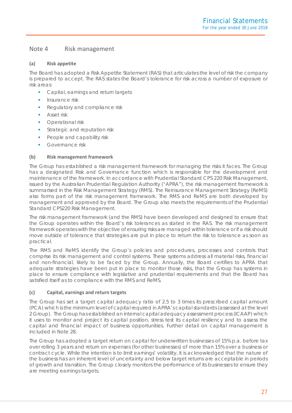# Note 4 Risk management

# **(a) Risk appetite**

The Board has adopted a Risk Appetite Statement (RAS) that articulates the level of risk the company is prepared to accept. The RAS states the Board's tolerance for risk across a number of exposure or risk areas:

- **Capital, earnings and return targets**
- Insurance risk
- Regulatory and compliance risk
- **Asset risk**
- **•** Operational risk
- **Strategic and reputation risk**
- People and capability risk
- Governance risk

# **(b) Risk management framework**

The Group has established a risk management framework for managing the risks it faces. The Group has a designated Risk and Governance function which is responsible for the development and maintenance of the framework. In accordance with Prudential Standard CPS 220 Risk Management, issued by the Australian Prudential Regulation Authority ("APRA"), the risk management framework is summarised in the Risk Management Strategy (RMS). The Reinsurance Management Strategy (ReMS) also forms part of the risk management framework. The RMS and ReMS are both developed by management and approved by the Board. The Group also meets the requirements of the Prudential Standard CPS220 Risk Management.

The risk management framework (and the RMS) have been developed and designed to ensure that the Group operates within the Board's risk tolerances as stated in the RAS. The risk management framework operates with the objective of ensuring risks are managed within tolerance or if a risk should move outside of tolerance that strategies are put in place to return the risk to tolerance as soon as practical.

The RMS and ReMS identify the Group's policies and procedures, processes and controls that comprise its risk management and control systems. These systems address all material risks, financial and non-financial, likely to be faced by the Group. Annually, the Board certifies to APRA that adequate strategies have been put in place to monitor those risks, that the Group has systems in place to ensure compliance with legislative and prudential requirements and that the Board has satisfied itself as to compliance with the RMS and ReMS.

# **(c) Capital, earnings and return targets**

The Group has set a target capital adequacy ratio of 2.5 to 3 times its prescribed capital amount (PCA) which is the minimum level of capital required in APRA's capital standards (assessed at the level 2 Group). The Group has established an internal capital adequacy assessment process (ICAAP) which it uses to monitor and project its capital position, stress test its capital resiliency and to assess the capital and financial impact of business opportunities. Further detail on capital management is included in Note 28.

The Group has adopted a target return on capital for underwritten businesses of 15% p.a. before tax over rolling 3 years and return on expenses (for other businesses) of more than 15% over a business or contract cycle. While the intention is to limit earnings' volatility, it is acknowledged that the nature of the business has an inherent level of uncertainty and below target returns are acceptable in periods of growth and transition. The Group closely monitors the performance of its businesses to ensure they are meeting earnings targets.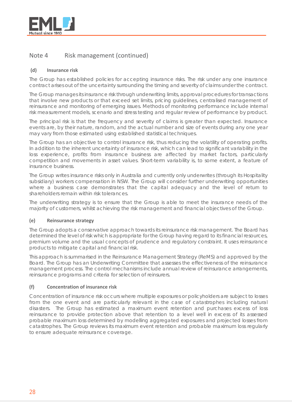

# Note 4 Risk management (continued)

# **(d) Insurance risk**

The Group has established policies for accepting insurance risks. The risk under any one insurance contract arises out of the uncertainty surrounding the timing and severity of claims under the contract.

The Group manages its insurance risk through underwriting limits, approval procedures for transactions that involve new products or that exceed set limits, pricing guidelines, centralised management of reinsurance and monitoring of emerging issues. Methods of monitoring performance include internal risk measurement models, scenario and stress testing and regular review of performance by product.

The principal risk is that the frequency and severity of claims is greater than expected. Insurance events are, by their nature, random, and the actual number and size of events during any one year may vary from those estimated using established statistical techniques.

The Group has an objective to control insurance risk, thus reducing the volatility of operating profits. In addition to the inherent uncertainty of insurance risk, which can lead to significant variability in the loss experience, profits from insurance business are affected by market factors, particularly competition and movements in asset values. Short-term variability is, to some extent, a feature of insurance business.

The Group writes insurance risks only in Australia and currently only underwrites (through its Hospitality subsidiary) workers compensation in NSW. The Group will consider further underwriting opportunities where a business case demonstrates that the capital adequacy and the level of return to shareholders remain within risk tolerances.

The underwriting strategy is to ensure that the Group is able to meet the insurance needs of the majority of customers, whilst achieving the risk management and financial objectives of the Group.

# **(e) Reinsurance strategy**

The Group adopts a conservative approach towards its reinsurance risk management. The Board has determined the level of risk which is appropriate for the Group having regard to its financial resources, premium volume and the usual concepts of prudence and regulatory constraint. It uses reinsurance products to mitigate capital and financial risk.

This approach is summarised in the Reinsurance Management Strategy (ReMS) and approved by the Board. The Group has an Underwriting Committee that assesses the effectiveness of the reinsurance management process. The control mechanisms include annual review of reinsurance arrangements, reinsurance programs and criteria for selection of reinsurers.

# **(f) Concentration of insurance risk**

Concentration of insurance risk occurs where multiple exposures or policyholders are subject to losses from the one event and are particularly relevant in the case of catastrophes including natural disasters. The Group has estimated a maximum event retention and purchases excess of loss reinsurance to provide protection above that retention to a level well in excess of its assessed probable maximum loss determined by modelling aggregated exposures and projected losses from catastrophes. The Group reviews its maximum event retention and probable maximum loss regularly to ensure adequate reinsurance coverage.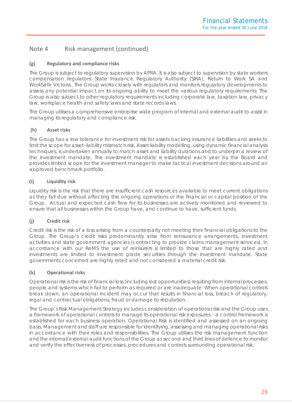# Note 4 Risk management (continued)

# **(g) Regulatory and compliance risks**

The Group is subject to regulatory supervision by APRA. It is also subject to supervision by state workers compensation regulators: State Insurance Regulatory Authority (SIRA), Return to Work SA and WorkSafe Victoria. The Group works closely with regulators and monitors regulatory developments to assess any potential impact on its ongoing ability to meet the various regulatory requirements. The Group is also subject to other regulatory requirements including corporate law, taxation law, privacy law, workplace health and safety laws and state records laws.

The Group utilises a comprehensive enterprise wide program of internal and external audit to assist in managing its regulatory and compliance risk.

# **(h) Asset risks**

The Group has a low tolerance for investment risk for assets backing insurance liabilities and seeks to limit the scope for asset–liability mismatch risk. Asset liability modelling, using dynamic financial analysis techniques, is undertaken annually to match asset and liability durations and to underpin a review of the investment mandate. The investment mandate is established each year by the Board and provides limited scope for the investment manager to make tactical investment decisions around an approved benchmark portfolio.

# **(i) Liquidity risk**

Liquidity risk is the risk that there are insufficient cash resources available to meet current obligations as they fall due without affecting the ongoing operations or the financial or capital position of the Group. Actual and expected cash flow for its businesses are actively monitored and reviewed to ensure that all businesses within the Group have, and continue to have, sufficient funds.

# **(j) Credit risk**

Credit risk is the risk of a loss arising from a counterparty not meeting their financial obligations to the Group. The Group's credit risks predominantly arise from reinsurance arrangements, investment activities and state government agencies (contracting to provide claims management services). In accordance with our ReMS the use of reinsurers is limited to those that are highly rated and investments are limited to investment grade securities through the investment mandate. State governments concerned are highly rated and not considered a material credit risk.

# **(k) Operational risks**

Operational risk is the risk of financial loss (including lost opportunities) resulting from internal processes, people and systems which fail to perform as required or are inadequate. When operational controls break down, an operational incident may occur that results in financial loss, breach of regulatory, legal and contractual obligations, fraud or damage to reputation.

The Group's Risk Management Strategy includes consideration of operational risk and the Group uses a framework of operational controls to manage its operational risk exposures – a control framework is established for each business operation. Operational Risk is identified and assessed on an ongoing basis. Management and staff are responsible for identifying, assessing and managing operational risks in accordance with their roles and responsibilities. The Group utilises the risk management function and the internal/external audit functions of the Group as second and third lines of defence to monitor and verify the effectiveness of processes, procedures and controls surrounding operational risk.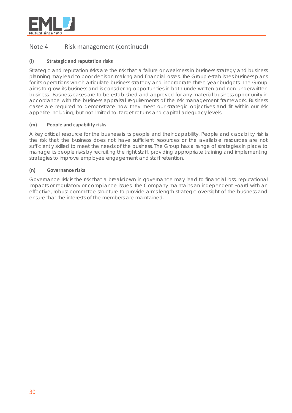

# Note 4 Risk management (continued)

# **(l) Strategic and reputation risks**

Strategic and reputation risks are the risk that a failure or weakness in business strategy and business planning may lead to poor decision making and financial losses. The Group establishes business plans for its operations which articulate business strategy and incorporate three year budgets. The Group aims to grow its business and is considering opportunities in both underwritten and non-underwritten business. Business cases are to be established and approved for any material business opportunity in accordance with the business appraisal requirements of the risk management framework. Business cases are required to demonstrate how they meet our strategic objectives and fit within our risk appetite including, but not limited to, target returns and capital adequacy levels.

# **(m) People and capability risks**

A key critical resource for the business is its people and their capability. People and capability risk is the risk that the business does not have sufficient resources or the available resources are not sufficiently skilled to meet the needs of the business. The Group has a range of strategies in place to manage its people risks by recruiting the right staff, providing appropriate training and implementing strategies to improve employee engagement and staff retention.

# **(n) Governance risks**

Governance risk is the risk that a breakdown in governance may lead to financial loss, reputational impacts or regulatory or compliance issues. The Company maintains an independent Board with an effective, robust committee structure to provide arms-length strategic oversight of the business and ensure that the interests of the members are maintained.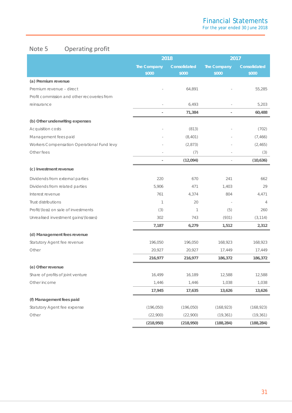# Note 5 Operating profit

|                                             |                      | 2018                  |                      | 2017                  |  |
|---------------------------------------------|----------------------|-----------------------|----------------------|-----------------------|--|
|                                             | The Company<br>\$000 | Consolidated<br>\$000 | The Company<br>\$000 | Consolidated<br>\$000 |  |
| (a) Premium revenue                         |                      |                       |                      |                       |  |
| Premium revenue - direct                    |                      | 64,891                |                      | 55,285                |  |
| Profit commission and other recoveries from |                      |                       |                      |                       |  |
| reinsurance                                 |                      | 6,493                 |                      | 5,203                 |  |
|                                             |                      | 71,384                |                      | 60,488                |  |
| (b) Other underwriting expenses             |                      |                       |                      |                       |  |
| <b>Acquisition costs</b>                    |                      | (813)                 |                      | (702)                 |  |
| Management fees paid                        |                      | (8,401)               |                      | (7, 466)              |  |
| Workers Compensation Operational Fund levy  |                      | (2,873)               |                      | (2,465)               |  |
| Other fees                                  |                      | (7)                   |                      | (3)                   |  |
|                                             |                      | (12,094)              |                      | (10,636)              |  |
| (c) Investment revenue                      |                      |                       |                      |                       |  |
| Dividends from external parties             | 220                  | 670                   | 241                  | 662                   |  |
| Dividends from related parties              | 5,906                | 471                   | 1,403                | 29                    |  |
| Interest revenue                            | 761                  | 4,374                 | 804                  | 4,471                 |  |
| Trust distributions                         | 1                    | 20                    |                      | 4                     |  |
| Profit/(loss) on sale of investments        | (3)                  | 1                     | (5)                  | 260                   |  |
| Unrealised investment gains/(losses)        | 302                  | 743                   | (931)                | (3, 114)              |  |
|                                             | 7,187                | 6,279                 | 1,512                | 2,312                 |  |
| (d) Management fees revenue                 |                      |                       |                      |                       |  |
| Statutory Agent fee revenue                 | 196,050              | 196,050               | 168,923              | 168,923               |  |
| Other                                       | 20,927               | 20,927                | 17,449               | 17,449                |  |
|                                             | 216,977              | 216,977               | 186,372              | 186,372               |  |
| (e) Other revenue                           |                      |                       |                      |                       |  |
| Share of profits of joint venture           | 16,499               | 16,189                | 12,588               | 12,588                |  |
| Other income                                | 1,446                | 1,446                 | 1,038                | 1,038                 |  |
|                                             | 17,945               | 17,635                | 13,626               | 13,626                |  |
| (f) Management fees paid                    |                      |                       |                      |                       |  |
| Statutory Agent fee expense                 | (196, 050)           | (196, 050)            | (168, 923)           | (168, 923)            |  |
| Other                                       | (22,900)             | (22,900)              | (19, 361)            | (19, 361)             |  |
|                                             | (218,950)            | (218,950)             | (188, 284)           | (188, 284)            |  |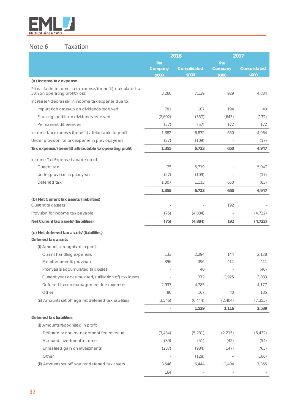

# Note 6 Taxation

|                                                                                          |                                | 2018                  |                                | 2017                         |
|------------------------------------------------------------------------------------------|--------------------------------|-----------------------|--------------------------------|------------------------------|
|                                                                                          | <b>The</b><br>Company<br>\$000 | Consolidated<br>\$000 | <b>The</b><br>Company<br>\$000 | <b>Consolidated</b><br>\$000 |
| (a) Income tax expense                                                                   |                                |                       |                                |                              |
| Prima facie income tax expense/(benefit) calculated at<br>30% on operating profit/(loss) | 3,260                          | 7,139                 | 929                            | 4,884                        |
| Increase/(decrease) in income tax expense due to:                                        |                                |                       |                                |                              |
| Imputation gross-up on dividends received                                                | 781                            | 107                   | 194                            | 40                           |
| Franking credits on dividends received                                                   | (2,602)                        | (357)                 | (645)                          | (132)                        |
| Permanent differences                                                                    | (57)                           | (57)                  | 172                            | 172                          |
| Income tax expense/(benefit) attributable to profit                                      | 1,382                          | 6,832                 | 650                            | 4,964                        |
| Under provision for tax expense in previous years                                        | (27)                           | (109)                 |                                | (17)                         |
| Tax expense/(benefit) attributable to operating profit                                   | 1,355                          | 6,723                 | 650                            | 4,947                        |
| Income Tax Expense is made up of                                                         |                                |                       |                                |                              |
| Current tax                                                                              | 75                             | 5,719                 |                                | 5,047                        |
| Under provision in prior year                                                            | (27)                           | (109)                 |                                | (17)                         |
| Deferred tax                                                                             | 1,307                          | 1,113                 | 650                            | (83)                         |
|                                                                                          | 1,355                          | 6,723                 | 650                            | 4,947                        |
| (b) Net Current tax assets/(liabilities)<br>Current tax assets                           |                                |                       | 192                            |                              |
| Provision for income tax payable                                                         | (75)                           | (4,884)               |                                | (4, 722)                     |
| Net Current tax assets/(liabilities)                                                     | (75)                           | (4,884)               | 192                            | (4, 722)                     |
| (c) Net deferred tax assets/(liabilities)<br>Deferred tax assets                         |                                |                       |                                |                              |
| (i) Amounts recognised in profit                                                         |                                |                       |                                |                              |
| Claims handling expenses                                                                 | 133                            | 2,294                 | 144                            | 2,128                        |
| Member benefit provision                                                                 | 396                            | 396                   | 411                            | 411                          |
| Prior years accumulated tax losses                                                       |                                | 40                    |                                | (40)                         |
| Current year accumulated/(utilisation of) tax losses                                     |                                | 372                   | 2,925                          | 3,083                        |
| Deferred tax on management fee expenses                                                  | 2,937                          | 4,785                 |                                | 4,177                        |
| Other                                                                                    | 80                             | 167                   | 40                             | 135                          |
| (ii) Amounts set off against deferred tax liabilities                                    | (3,546)                        | (6, 444)              | (2, 404)                       | (7, 355)                     |
|                                                                                          |                                | 1,529                 | 1,116                          | 2,539                        |
| Deferred tax liabilities                                                                 |                                |                       |                                |                              |
| (i) Amounts recognised in profit                                                         |                                |                       |                                |                              |
| Deferred tax on management fee revenue                                                   | (3, 434)                       | (5,281)               | (2, 215)                       | (6, 432)                     |
| Accrued investment income                                                                | (39)                           | (51)                  | (42)                           | (54)                         |
| Unrealised gain on investments                                                           | (237)                          | (984)                 | (147)                          | (763)                        |
| Other                                                                                    |                                | (128)                 |                                | (106)                        |
| (ii) Amounts set off against deferred tax assets                                         | 3,546                          | 6,444                 | 2,404                          | 7,355                        |
|                                                                                          | 164                            |                       |                                |                              |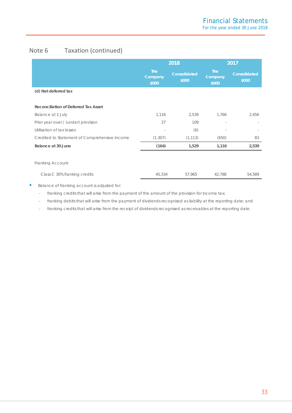# Note 6 Taxation (continued)

|                                               | 2018                           |                       | 2017                           |                       |  |
|-----------------------------------------------|--------------------------------|-----------------------|--------------------------------|-----------------------|--|
|                                               | <b>The</b><br>Company<br>\$000 | Consolidated<br>\$000 | <b>The</b><br>Company<br>\$000 | Consolidated<br>\$000 |  |
| (d) Net deferred tax                          |                                |                       |                                |                       |  |
| Reconciliation of Deferred Tax Asset          |                                |                       |                                |                       |  |
| Balance at 1 July                             | 1,116                          | 2,539                 | 1,766                          | 2,456                 |  |
| Prior year over / (under) provision           | 27                             | 109                   |                                |                       |  |
| Utilisation of tax losses                     |                                | (6)                   |                                |                       |  |
| Credited to Statement of Comprehensive Income | (1.307)                        | (1, 113)              | (650)                          | 83                    |  |
| Balance at 30 June                            | (164)                          | 1,529                 | 1,116                          | 2,539                 |  |
|                                               |                                |                       |                                |                       |  |
| Franking Account                              |                                |                       |                                |                       |  |
| Class C 30% franking credits                  | 45,334                         | 57,965                | 42,788                         | 54,589                |  |

Balance of franking account is adjusted for:

- franking credits that will arise from the payment of the amount of the provision for income tax;

- franking debits that will arise from the payment of dividends recognised as liability at the reporting date; and

franking credits that will arise from the receipt of dividends recognised as receivables at the reporting date.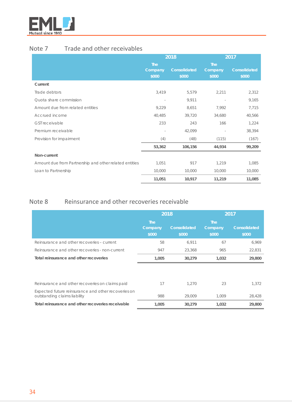

# Note 7 Trade and other receivables

|                                                        | 2018       |              |            | 2017                |
|--------------------------------------------------------|------------|--------------|------------|---------------------|
|                                                        | <b>The</b> |              | <b>The</b> |                     |
|                                                        | Company    | Consolidated | Company    | <b>Consolidated</b> |
|                                                        | \$000      | \$000        | \$000      | \$000               |
| Current                                                |            |              |            |                     |
| Trade debtors                                          | 3,419      | 5,579        | 2,211      | 2,312               |
| Quota share commission                                 | ÷          | 9,911        |            | 9,165               |
| Amount due from related entities                       | 9,229      | 8,651        | 7,992      | 7,715               |
| Accrued income                                         | 40,485     | 39,720       | 34,680     | 40,566              |
| <b>GST</b> receivable                                  | 233        | 243          | 166        | 1,224               |
| Premium receivable                                     |            | 42,099       |            | 38,394              |
| Provision for impairment                               | (4)        | (48)         | (115)      | (167)               |
|                                                        | 53,362     | 106,156      | 44,934     | 99,209              |
| Non-current                                            |            |              |            |                     |
| Amount due from Partnership and other related entities | 1,051      | 917          | 1,219      | 1,085               |
| Loan to Partnership                                    | 10,000     | 10,000       | 10,000     | 10,000              |
|                                                        | 11,051     | 10,917       | 11,219     | 11,085              |

# Note 8 Reinsurance and other recoveries receivable

|                                                                                     | 2018                           |                       | 2017                           |                              |
|-------------------------------------------------------------------------------------|--------------------------------|-----------------------|--------------------------------|------------------------------|
|                                                                                     | <b>The</b><br>Company<br>\$000 | Consolidated<br>\$000 | <b>The</b><br>Company<br>\$000 | <b>Consolidated</b><br>\$000 |
| Reinsurance and other recoveries - current                                          | 58                             | 6,911                 | 67                             | 6,969                        |
| Reinsurance and other recoveries - non-current                                      | 947                            | 23,368                | 965                            | 22,831                       |
| Total reinsurance and other recoveries                                              | 1,005                          | 30,279                | 1,032                          | 29,800                       |
|                                                                                     |                                |                       |                                |                              |
| Reinsurance and other recoveries on claims paid                                     | 17                             | 1.270                 | 23                             | 1,372                        |
| Expected future reinsurance and other recoveries on<br>outstanding claims liability | 988                            | 29,009                | 1,009                          | 28,428                       |
| Total reinsurance and other recoveries receivable                                   | 1,005                          | 30,279                | 1,032                          | 29,800                       |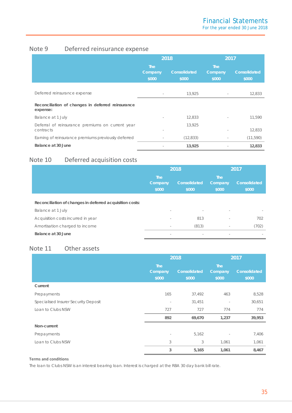# Note 9 Deferred reinsurance expense

|                                                               | 2018                           |                              | 2017                    |                       |
|---------------------------------------------------------------|--------------------------------|------------------------------|-------------------------|-----------------------|
|                                                               | <b>The</b><br>Company<br>\$000 | <b>Consolidated</b><br>\$000 | The<br>Company<br>\$000 | Consolidated<br>\$000 |
| Deferred reinsurance expense                                  | $\overline{\phantom{a}}$       | 13,925                       |                         | 12,833                |
| Reconciliation of changes in deferred reinsurance<br>expense: |                                |                              |                         |                       |
| Balance at 1 July                                             | $\overline{\phantom{a}}$       | 12,833                       |                         | 11,590                |
| Deferral of reinsurance premiums on current year<br>contracts |                                | 13,925                       |                         | 12,833                |
| Earning of reinsurance premiums previously deferred           |                                | (12, 833)                    |                         | (11, 590)             |
| Balance at 30 June                                            |                                | 13,925                       |                         | 12,833                |

# Note 10 Deferred acquisition costs

|                                                          | 2018                           |                          |                                | 2017                  |
|----------------------------------------------------------|--------------------------------|--------------------------|--------------------------------|-----------------------|
|                                                          | <b>The</b><br>Company<br>\$000 | Consolidated<br>\$000    | <b>The</b><br>Company<br>\$000 | Consolidated<br>\$000 |
| Reconciliation of changes in deferred acquisition costs: |                                |                          |                                |                       |
| Balance at 1 July                                        | $\sim$                         | $\overline{\phantom{a}}$ | $\overline{\phantom{a}}$       |                       |
| Acquisition costs incurred in year                       | $\sim$                         | 813                      |                                | 702                   |
| Amortisation charged to income                           | $\sim$                         | (813)                    | $\overline{\phantom{a}}$       | (702)                 |
| Balance at 30 June                                       | $\sim$                         | $\overline{\phantom{a}}$ | $\overline{\phantom{a}}$       |                       |

# Note 11 Other assets

|                                      | 2018                           |                       | 2017                           |                       |
|--------------------------------------|--------------------------------|-----------------------|--------------------------------|-----------------------|
|                                      | <b>The</b><br>Company<br>\$000 | Consolidated<br>\$000 | <b>The</b><br>Company<br>\$000 | Consolidated<br>\$000 |
| Current                              |                                |                       |                                |                       |
| Prepayments                          | 165                            | 37,492                | 463                            | 8,528                 |
| Specialised Insurer Security Deposit | $\overline{\phantom{a}}$       | 31,451                | $\overline{\phantom{a}}$       | 30,651                |
| Loan to Clubs NSW                    | 727                            | 727                   | 774                            | 774                   |
|                                      | 892                            | 69,670                | 1,237                          | 39,953                |
| Non-current                          |                                |                       |                                |                       |
| Prepayments                          | $\overline{\phantom{a}}$       | 5,162                 | ٠                              | 7,406                 |
| Loan to Clubs NSW                    | 3                              | 3                     | 1,061                          | 1,061                 |
|                                      | 3                              | 5,165                 | 1,061                          | 8,467                 |

### **Terms and conditions**

The loan to Clubs NSW is an interest bearing loan. Interest is charged at the RBA 30 day bank bill rate.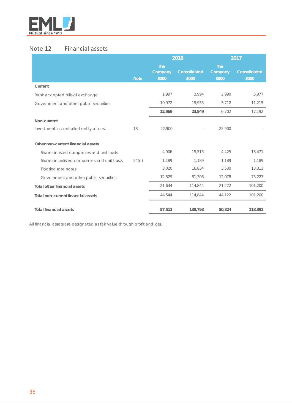

# Note 12 Financial assets

|                                              |             |                                | 2018                  |                                | 2017                  |
|----------------------------------------------|-------------|--------------------------------|-----------------------|--------------------------------|-----------------------|
|                                              | <b>Note</b> | <b>The</b><br>Company<br>\$000 | Consolidated<br>\$000 | <b>The</b><br>Company<br>\$000 | Consolidated<br>\$000 |
| Current                                      |             |                                |                       |                                |                       |
| Bank accepted bills of exchange              |             | 1,997                          | 3,994                 | 2,990                          | 5,977                 |
| Government and other public securities       |             | 10,972                         | 19,955                | 3,712                          | 11,215                |
|                                              |             | 12,969                         | 23,949                | 6,702                          | 17,192                |
| Non-current                                  |             |                                |                       |                                |                       |
| Investment in controlled entity at cost      | 13          | 22,900                         |                       | 22,900                         |                       |
| Other non-current financial assets           |             |                                |                       |                                |                       |
| Shares in listed companies and unit trusts   |             | 4,906                          | 15,515                | 4,425                          | 13,471                |
| Shares in unlisted companies and unit trusts | 24(c)       | 1,189                          | 1,189                 | 1,189                          | 1,189                 |
| Floating rate notes                          |             | 3,020                          | 16,834                | 3,530                          | 13,313                |
| Government and other public securities       |             | 12,529                         | 81,306                | 12,078                         | 73,227                |
| <b>Total other financial assets</b>          |             | 21,644                         | 114,844               | 21,222                         | 101,200               |
| Total non-current financial assets           |             | 44,544                         | 114,844               | 44,122                         | 101,200               |
| <b>Total financial assets</b>                |             | 57,513                         | 138,793               | 50,824                         | 118,392               |

All financial assets are designated as fair value through profit and loss.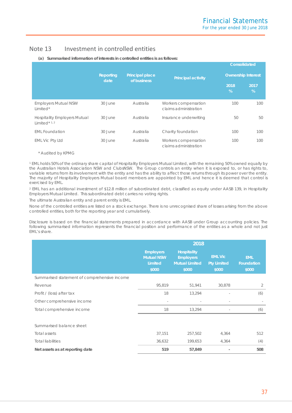# Note 13 Investment in controlled entities

|                                                         |                   |                                       |                                               | <b>Consolidated</b>       |           |
|---------------------------------------------------------|-------------------|---------------------------------------|-----------------------------------------------|---------------------------|-----------|
|                                                         | Reporting<br>date | <b>Principal place</b><br>of business | <b>Principal activity</b>                     | <b>Ownership Interest</b> |           |
|                                                         |                   |                                       |                                               | 2018<br>$\%$              | 2017<br>% |
| <b>Employers Mutual NSW</b><br>Limited*                 | 30 June           | Australia                             | Workers compensation<br>claims administration | 100                       | 100       |
| <b>Hospitality Employers Mutual</b><br>Limited $*$ 1, 2 | 30 June           | Australia                             | Insurance underwriting                        | 50                        | 50        |
| <b>EML Foundation</b>                                   | 30 June           | Australia                             | Charity foundation                            | 100                       | 100       |
| <b>EML Vic Pty Ltd</b>                                  | 30 June           | Australia                             | Workers compensation<br>claims administration | 100                       | 100       |

**(a) Summarised information of interests in controlled entities is as follows:**

\* Audited by KPMG

<sup>1</sup> EML holds 50% of the ordinary share capital of Hospitality Employers Mutual Limited, with the remaining 50% owned equally by the Australian Hotels Association NSW and ClubsNSW. The Group controls an entity when it is exposed to, or has rights to, variable returns from its involvement with the entity and has the ability to affect those returns through its power over the entity. The majority of Hospitality Employers Mutual board members are appointed by EML and hence it is deemed that control is exercised by EML.

<sup>2</sup> EML has an additional investment of \$12.8 million of subordinated debt, classified as equity under AASB 139, in Hospitality Employers Mutual Limited. This subordinated debt carries no voting rights.

The ultimate Australian entity and parent entity is EML.

None of the controlled entities are listed on a stock exchange. There is no unrecognised share of losses arising from the above controlled entities, both for the reporting year and cumulatively.

Disclosure is based on the financial statements prepared in accordance with AASB under Group accounting policies. The following summarised information represents the financial position and performance of the entities as a whole and not just EML's share.

|                                              | 2018                                                             |                                                                          |                                               |                                          |
|----------------------------------------------|------------------------------------------------------------------|--------------------------------------------------------------------------|-----------------------------------------------|------------------------------------------|
|                                              | <b>Employers</b><br><b>Mutual NSW</b><br><b>Limited</b><br>\$000 | <b>Hospitality</b><br><b>Employers</b><br><b>Mutual Limited</b><br>\$000 | <b>EML Vic</b><br><b>Pty Limited</b><br>\$000 | <b>EML</b><br><b>Foundation</b><br>\$000 |
| Summarised statement of comprehensive income |                                                                  |                                                                          |                                               |                                          |
| Revenue                                      | 95,819                                                           | 51,941                                                                   | 30,878                                        | 2                                        |
| Profit / (loss) after tax                    | 18                                                               | 13,294                                                                   |                                               | (6)                                      |
| Other comprehensive income                   | $\sim$                                                           |                                                                          | $\overline{\phantom{0}}$                      |                                          |
| Total comprehensive income                   | 18                                                               | 13,294                                                                   | $\overline{\phantom{a}}$                      | (6)                                      |
| Summarised balance sheet                     |                                                                  |                                                                          |                                               |                                          |
| Total assets                                 | 37,151                                                           | 257,502                                                                  | 4,364                                         | 512                                      |
| <b>Total liabilities</b>                     | 36,632                                                           | 199,653                                                                  | 4,364                                         | (4)                                      |
| Net assets as at reporting date              | 519                                                              | 57,849                                                                   |                                               | 508                                      |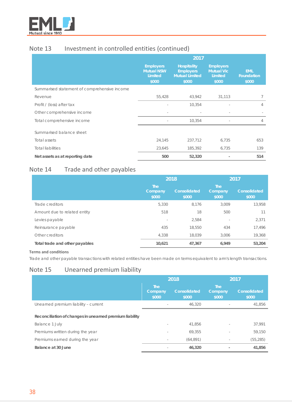

# Note 13 Investment in controlled entities (continued)

|                                              | 2017                                                      |                                                                          |                                                           |                                          |
|----------------------------------------------|-----------------------------------------------------------|--------------------------------------------------------------------------|-----------------------------------------------------------|------------------------------------------|
|                                              | <b>Employers</b><br><b>Mutual NSW</b><br>Limited<br>\$000 | <b>Hospitality</b><br><b>Employers</b><br><b>Mutual Limited</b><br>\$000 | <b>Employers</b><br><b>Mutual Vic</b><br>Limited<br>\$000 | <b>EML</b><br><b>Foundation</b><br>\$000 |
| Summarised statement of comprehensive income |                                                           |                                                                          |                                                           |                                          |
| Revenue                                      | 55,428                                                    | 43,942                                                                   | 31,113                                                    | 7                                        |
| Profit / (loss) after tax                    |                                                           | 10,354                                                                   |                                                           | 4                                        |
| Other comprehensive income                   |                                                           |                                                                          |                                                           |                                          |
| Total comprehensive income                   |                                                           | 10,354                                                                   |                                                           | 4                                        |
| Summarised balance sheet                     |                                                           |                                                                          |                                                           |                                          |
| Total assets                                 | 24,145                                                    | 237,712                                                                  | 6,735                                                     | 653                                      |
| <b>Total liabilities</b>                     | 23,645                                                    | 185,392                                                                  | 6,735                                                     | 139                                      |
| Net assets as at reporting date              | 500                                                       | 52,320                                                                   |                                                           | 514                                      |

# Note 14 Trade and other payables

|                                | 2018                           |                       | 2017                           |                       |
|--------------------------------|--------------------------------|-----------------------|--------------------------------|-----------------------|
|                                | <b>The</b><br>Company<br>\$000 | Consolidated<br>\$000 | <b>The</b><br>Company<br>\$000 | Consolidated<br>\$000 |
| Trade creditors                | 5.330                          | 8.176                 | 3,009                          | 13,958                |
| Amount due to related entity   | 518                            | 18                    | 500                            | 11                    |
| Levies payable                 | $\overline{\phantom{a}}$       | 2,584                 | $\overline{\phantom{a}}$       | 2,371                 |
| Reinsurance payable            | 435                            | 18,550                | 434                            | 17,496                |
| Other creditors                | 4,338                          | 18,039                | 3.006                          | 19,368                |
| Total trade and other payables | 10,621                         | 47,367                | 6,949                          | 53,204                |

**Terms and conditions**

Trade and other payable transactions with related entities have been made on terms equivalent to arm's length transactions.

# Note 15 Unearned premium liability

|                                                         |                                | 2018                  | 2017                           |                       |  |
|---------------------------------------------------------|--------------------------------|-----------------------|--------------------------------|-----------------------|--|
|                                                         | <b>The</b><br>Company<br>\$000 | Consolidated<br>\$000 | <b>The</b><br>Company<br>\$000 | Consolidated<br>\$000 |  |
| Unearned premium liability - current                    | $\sim$                         | 46.320                |                                | 41,856                |  |
| Reconciliation of changes in unearned premium liability |                                |                       |                                |                       |  |
| Balance 1 July                                          |                                | 41.856                |                                | 37,991                |  |
| Premiums written during the year                        |                                | 69.355                | ٠                              | 59,150                |  |
| Premiums earned during the year                         | $\overline{\phantom{a}}$       | (64, 891)             | $\overline{\phantom{a}}$       | (55, 285)             |  |
| Balance at 30 June                                      | $\overline{\phantom{a}}$       | 46,320                | $\overline{\phantom{a}}$       | 41,856                |  |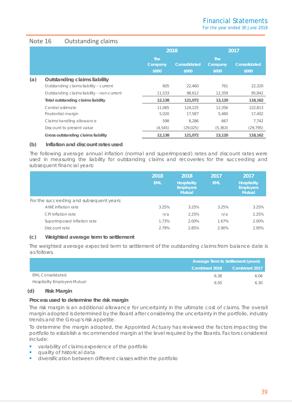# Note 16 Outstanding claims

|     |                                            | 2018                           |                       | 2017                    |                       |  |
|-----|--------------------------------------------|--------------------------------|-----------------------|-------------------------|-----------------------|--|
|     |                                            | <b>The</b><br>Company<br>\$000 | Consolidated<br>\$000 | The<br>Company<br>\$000 | Consolidated<br>\$000 |  |
| (a) | <b>Outstanding claims liability</b>        |                                |                       |                         |                       |  |
|     | Outstanding claims liability - current     | 605                            | 22.460                | 761                     | 22,320                |  |
|     | Outstanding claims liability - non-current | 11,533                         | 98,612                | 12,359                  | 95,842                |  |
|     | Total outstanding claims liability         | 12,138                         | 121,072               | 13,120                  | 118,162               |  |
|     | Central estimate                           | 11.065                         | 124.225               | 12,356                  | 122.813               |  |
|     | Prudential margin                          | 5.020                          | 17.587                | 5,460                   | 17,402                |  |
|     | Claims handling allowance                  | 598                            | 8.286                 | 667                     | 7.742                 |  |
|     | Discount to present value                  | (4,545)                        | (29, 025)             | (5, 363)                | (29, 795)             |  |
|     | Gross outstanding claims liability         | 12,138                         | 121,072               | 13,120                  | 118,162               |  |

# **(b) Inflation and discount rates used**

The following average annual inflation (normal and superimposed) rates and discount rates were used in measuring the liability for outstanding claims and recoveries for the succeeding and subsequent financial years:

|                                          | 2018<br><b>EML</b> | 2018<br><b>Hospitality</b><br><b>Employers</b><br><b>Mutual</b> | 2017<br><b>EML</b> | 2017<br><b>Hospitality</b><br><b>Employers</b><br><b>Mutual</b> |
|------------------------------------------|--------------------|-----------------------------------------------------------------|--------------------|-----------------------------------------------------------------|
| For the succeeding and subsequent years: |                    |                                                                 |                    |                                                                 |
| AWE inflation rate                       | 3.25%              | 3.25%                                                           | 3.25%              | 3.25%                                                           |
| CPI inflation rate                       | n/a                | 2.25%                                                           | n/a                | 2.25%                                                           |
| Superimposed inflation rate              | 1.73%              | 2.00%                                                           | 1.67%              | 2.00%                                                           |
| Discount rate                            | 2.79%              | 2.85%                                                           | 2.90%              | 2.95%                                                           |

# **(c) Weighted average term to settlement**

The weighted average expected term to settlement of the outstanding claims from balance date is as follows.

|                                     |               | Average Term to Settlement (years) |  |  |  |
|-------------------------------------|---------------|------------------------------------|--|--|--|
|                                     | Combined 2018 | Combined 2017                      |  |  |  |
| <b>EML Consolidated</b>             | 6.38          | 6.06                               |  |  |  |
| <b>Hospitality Employers Mutual</b> | 6.50          | 6.30                               |  |  |  |

### **(d) Risk Margin**

### **Process used to determine the risk margin**

The risk margin is an additional allowance for uncertainty in the ultimate cost of claims. The overall margin adopted is determined by the Board after considering the uncertainty in the portfolio, industry trends and the Group's risk appetite.

To determine the margin adopted, the Appointed Actuary has reviewed the factors impacting the portfolio to establish a recommended margin at the level required by the Boards. Factors considered include:

- variability of claims experience of the portfolio
- quality of historical data
- **diversification between different classes within the portfolio**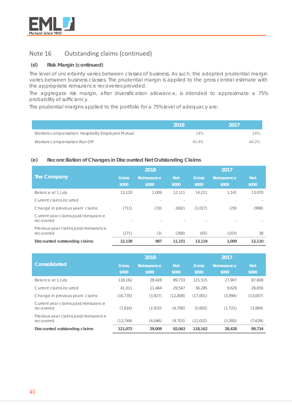

# Note 16 Outstanding claims (continued)

# **(d) Risk Margin (continued)**

The level of uncertainty varies between classes of business. As such, the adopted prudential margin varies between business classes. The prudential margin is applied to the gross central estimate with the appropriate reinsurance recoveries provided.

The aggregate risk margin, after diversification allowance, is intended to approximate a 75% probability of sufficiency.

The prudential margins applied to the portfolio for a 75% level of adequacy are:

|                                                    | 2018  | -2017 |
|----------------------------------------------------|-------|-------|
| Workers compensation: Hospitality Employers Mutual | 14%   | 14%   |
| Workers compensation Run-Off                       | 45.4% | 44 2% |

### **(e) Reconciliation of Changes in Discounted Net Outstanding Claims**

|                                                    |                       | 2018                 |                     | 2017                  |                      |                     |  |
|----------------------------------------------------|-----------------------|----------------------|---------------------|-----------------------|----------------------|---------------------|--|
| The Company                                        | <b>Gross</b><br>\$000 | Reinsurance<br>\$000 | <b>Net</b><br>\$000 | <b>Gross</b><br>\$000 | Reinsurance<br>\$000 | <b>Net</b><br>\$000 |  |
| Balance at 1 July                                  | 13,120                | 1.009                | 12.111              | 14.211                | 1.141                | 13,070              |  |
| Current claims incurred                            |                       |                      |                     |                       |                      |                     |  |
| Change in previous years' claims                   | (711)                 | (19)                 | (692)               | (1,027)               | (29)                 | (998)               |  |
| Current year claims paid/reinsurance<br>recovered  |                       |                      |                     |                       |                      |                     |  |
| Previous year claims paid/reinsurance<br>recovered | (271)                 | (3)                  | (268)               | (65)                  | (103)                | 38                  |  |
| Discounted outstanding claims                      | 12,138                | 987                  | 11,151              | 13,119                | 1.009                | 12,110              |  |

|                                                    |                       | 2018                 |                     | 2017                  |                      |                     |  |
|----------------------------------------------------|-----------------------|----------------------|---------------------|-----------------------|----------------------|---------------------|--|
| <b>Consolidated</b>                                | <b>Gross</b><br>\$000 | Reinsurance<br>\$000 | <b>Net</b><br>\$000 | <b>Gross</b><br>\$000 | Reinsurance<br>\$000 | <b>Net</b><br>\$000 |  |
| Balance at 1 July                                  | 118,162               | 28.428               | 89.733              | 115,515               | 27.907               | 87.608              |  |
| Current claims incurred                            | 41.011                | 11.464               | 29.547              | 36,285                | 9.629                | 26,656              |  |
| Change in previous years' claims                   | (16, 735)             | (3,927)              | (12,808)            | (17,001)              | (3,994)              | (13,007)            |  |
| Current year claims paid/reinsurance<br>recovered  | (7,616)               | (2,910)              | (4,706)             | (5,605)               | (1, 721)             | (3,884)             |  |
| Previous year claims paid/reinsurance<br>recovered | (13, 749)             | (4,046)              | (9,703)             | (11, 032)             | (3,393)              | (7,639)             |  |
| Discounted outstanding claims                      | 121,072               | 29,009               | 92.063              | 118,162               | 28,428               | 89,734              |  |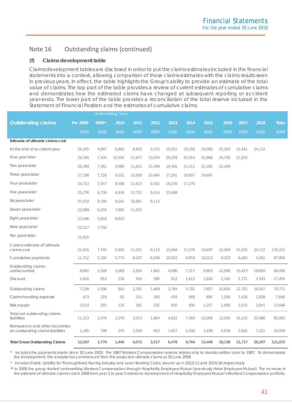# Note 16 Outstanding claims (continued)

# **(f) Claims development table**

Claims development tables are disclosed in order to put the claims estimates included in the financial statements into a context, allowing comparison of those claims estimates with the claims results seen in previous years. In effect, the table highlights the Group's ability to provide an estimate of the total value of claims. The top part of the table provides a review of current estimates of cumulative claims and demonstrates how the estimated claims have changed at subsequent reporting or accident year-ends. The lower part of the table provides a reconciliation of the total reserve included in the Statement of Financial Position and the estimates of cumulative claims.

|                                                                       |           |        | <b>Underwriting Year</b> |        |        |        |        |        |        |        |        |              |
|-----------------------------------------------------------------------|-----------|--------|--------------------------|--------|--------|--------|--------|--------|--------|--------|--------|--------------|
| <b>Outstanding claims</b>                                             | Pre 2009* | 2009** | 2010                     | 2011   | 2012   | 2013   | 2014   | 2015   | 2016   | 2017   | 2018   | <b>Total</b> |
|                                                                       | \$000     | \$000  | \$000                    | \$000  | \$000  | \$000  | \$000  | \$000  | \$000  | \$000  | \$000  | \$000        |
| Estimate of ultimate claims cost                                      |           |        |                          |        |        |        |        |        |        |        |        |              |
| At the end of accident year                                           | 26,305    | 4,897  | 6,860                    | 8,825  | 9,373  | 19,251 | 19,150 | 19,090 | 22,283 | 21,441 | 24,112 |              |
| One year later                                                        | 26,595    | 7,305  | 10,504                   | 11,977 | 13,054 | 20,259 | 22,914 | 23,868 | 24,758 | 21,825 |        |              |
| Two years later                                                       | 26,369    | 7,261  | 9,980                    | 11,621 | 13,398 | 19,306 | 21,011 | 22,282 | 22,269 |        |        |              |
| Three years later                                                     | 27,198    | 7,728  | 9,101                    | 10,930 | 10,484 | 17,281 | 19,807 | 19,697 |        |        |        |              |
| Four years later                                                      | 24,713    | 7,357  | 8,588                    | 11,613 | 9,782  | 16,570 | 17,270 |        |        |        |        |              |
| Five years later                                                      | 25,276    | 6,739  | 6,834                    | 12,751 | 8,414  | 15,668 |        |        |        |        |        |              |
| Six years later                                                       | 25,010    | 8,180  | 9.041                    | 10,881 | 8,113  |        |        |        |        |        |        |              |
| Seven years later                                                     | 23,969    | 6,255  | 7,905                    | 11,031 |        |        |        |        |        |        |        |              |
| Eight years later                                                     | 23,186    | 5,918  | 6,842                    |        |        |        |        |        |        |        |        |              |
| Nine years later                                                      | 22,517    | 7,740  |                          |        |        |        |        |        |        |        |        |              |
| Ten years later                                                       | 21,655    |        |                          |        |        |        |        |        |        |        |        |              |
| Current estimate of ultimate<br>claims cost                           | 21,655    | 7,740  | 6,842                    | 11,031 | 8,113  | 15,668 | 17,270 | 19,697 | 22,269 | 21,825 | 24,112 | 176,222      |
| Cumulative payments                                                   | 11,712    | 5,192  | 5,773                    | 8,107  | 6,248  | 10,972 | 9,953  | 10,013 | 9,323  | 6,402  | 4,261  | 87,956       |
| Outstanding claims -<br>undiscounted                                  | 9,942     | 2,549  | 1,069                    | 2,924  | 1,865  | 4,696  | 7,317  | 9,683  | 12,946 | 15,423 | 19,850 | 88,266       |
| Discount                                                              | 2,616     | 953    | 226                      | 543    | 396    | 912    | 1,615  | 1,826  | 2,342  | 2,721  | 3,343  | 17,495       |
| Outstanding claims                                                    | 7,326     | 1,596  | 843                      | 2,381  | 1,469  | 3,784  | 5,702  | 7,857  | 10,604 | 12,702 | 16,507 | 70,771       |
| Claims handling expense                                               | 473       | 219    | 92                       | 251    | 160    | 433    | 668    | 895    | 1,200  | 1,418  | 1,838  | 7,646        |
| Risk margin                                                           | 3,514     | 255    | 135                      | 381    | 235    | 605    | 894    | 1,257  | 1,696  | 2,032  | 2,641  | 13,646       |
| Total net outstanding claims<br>liabilities                           | 11,313    | 2,070  | 1,070                    | 3,013  | 1,864  | 4,822  | 7,265  | 10,009 | 13,500 | 16,152 | 20,986 | 92,063       |
| Reinsurance and other recoveries<br>on outstanding claims liabilities | 1,195     | 709    | 375                      | 1,058  | 653    | 1,657  | 2,500  | 3,439  | 4,638  | 5,565  | 7,221  | 29,009       |
| <b>Total Gross Outstanding Claims</b>                                 | 12,507    | 2,779  | 1,445                    | 4,071  | 2,517  | 6,478  | 9,764  | 13,448 | 18,138 | 21,717 | 28,207 | 121,072      |

*\* Includes the payments made since 30 June 2003. Pre 1987 Workers Compensation reserve relates only to treaties written prior to 1987. To demonstrate the development, the analysis has commenced from the projected ultimate claims at 30 June 2006.*

*\* Includes Public Liability for Thoroughbred Racing Industry and Lawn Bowling Clubs, wound up in 2012/13 and 2015/16 respectively*

*\*\* In 2008 the group started underwriting Workers Compensation through Hospitality Employers Mutual (previously Hotel Employers Mutual). The increase in the estimate of ultimate claims cost in 2008 from year 1 to year 2 relates to development of Hospitality Employers Mutual's Workers Compensation portfolio.*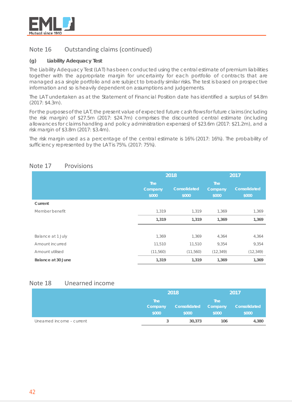

# Note 16 Outstanding claims (continued)

# **(g) Liability Adequacy Test**

The Liability Adequacy Test (LAT) has been conducted using the central estimate of premium liabilities together with the appropriate margin for uncertainty for each portfolio of contracts that are managed as a single portfolio and are subject to broadly similar risks. The test is based on prospective information and so is heavily dependent on assumptions and judgements.

The LAT undertaken as at the Statement of Financial Position date has identified a surplus of \$4.8m (2017: \$4.3m).

For the purposes of the LAT, the present value of expected future cash flows for future claims (including the risk margin) of \$27.5m (2017: \$24.7m) comprises the discounted central estimate (including allowances for claims handling and policy administration expenses) of \$23.6m (2017: \$21.2m), and a risk margin of \$3.8m (2017: \$3.4m).

The risk margin used as a percentage of the central estimate is 16% (2017: 16%). The probability of sufficiency represented by the LAT is 75%. (2017: 75%).

|                    |                                | 2018                  | 2017                                  |                       |  |
|--------------------|--------------------------------|-----------------------|---------------------------------------|-----------------------|--|
|                    | <b>The</b><br>Company<br>\$000 | Consolidated<br>\$000 | <b>The</b><br><b>Company</b><br>\$000 | Consolidated<br>\$000 |  |
| Current            |                                |                       |                                       |                       |  |
| Member benefit     | 1,319                          | 1,319                 | 1,369                                 | 1,369                 |  |
|                    | 1,319                          | 1,319                 | 1,369                                 | 1,369                 |  |
|                    |                                |                       |                                       |                       |  |
| Balance at 1 July  | 1,369                          | 1,369                 | 4,364                                 | 4,364                 |  |
| Amount incurred    | 11,510                         | 11,510                | 9,354                                 | 9,354                 |  |
| Amount utilised    | (11, 560)                      | (11, 560)             | (12, 349)                             | (12, 349)             |  |
| Balance at 30 June | 1,319                          | 1,319                 | 1,369                                 | 1,369                 |  |

# Note 17 Provisions

# Note 18 Unearned income

|                           |                                | 2018                  | 2017                           |                       |
|---------------------------|--------------------------------|-----------------------|--------------------------------|-----------------------|
|                           | <b>The</b><br>Company<br>\$000 | Consolidated<br>\$000 | <b>The</b><br>Company<br>\$000 | Consolidated<br>\$000 |
| Unearned income - current |                                | 30,373                | 106                            | 4,380                 |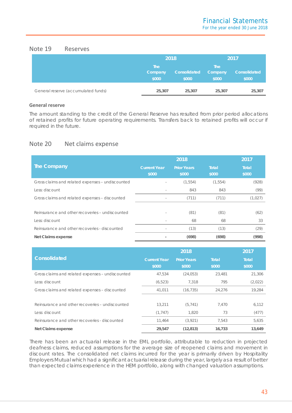# Note 19 Reserves

|                                     | 2018                           |                       | 2017                           |                       |  |
|-------------------------------------|--------------------------------|-----------------------|--------------------------------|-----------------------|--|
|                                     | <b>The</b><br>Company<br>\$000 | Consolidated<br>\$000 | <b>The</b><br>Company<br>\$000 | Consolidated<br>\$000 |  |
| General reserve (accumulated funds) | 25,307                         | 25,307                | 25,307                         | 25,307                |  |

# **General reserve**

The amount standing to the credit of the General Reserve has resulted from prior period allocations of retained profits for future operating requirements. Transfers back to retained profits will occur if required in the future.

# Note 20 Net claims expense

|                                                  |                              | 2018                        |                       | 2017           |
|--------------------------------------------------|------------------------------|-----------------------------|-----------------------|----------------|
| The Company                                      | <b>Current Year</b><br>\$000 | <b>Prior Years</b><br>\$000 | <b>Total</b><br>\$000 | Total<br>\$000 |
| Gross claims and related expenses - undiscounted |                              | (1, 554)                    | (1, 554)              | (928)          |
| Less: discount                                   | $\overline{\phantom{a}}$     | 843                         | 843                   | (99)           |
| Gross claims and related expenses - discounted   | $\overline{\phantom{a}}$     | (711)                       | (711)                 | (1,027)        |
|                                                  |                              |                             |                       |                |
| Reinsurance and other recoveries - undiscounted  | $\overline{\phantom{a}}$     | (81)                        | (81)                  | (62)           |
| Less: discount                                   |                              | 68                          | 68                    | 33             |
| Reinsurance and other recoveries - discounted    |                              | (13)                        | (13)                  | (29)           |
| Net Claims expense                               |                              | (698)                       | (698)                 | (998)          |

|                                                  |                              | 2018                        |                       | 2017           |
|--------------------------------------------------|------------------------------|-----------------------------|-----------------------|----------------|
| <b>Consolidated</b>                              | <b>Current Year</b><br>\$000 | <b>Prior Years</b><br>\$000 | <b>Total</b><br>\$000 | Total<br>\$000 |
| Gross claims and related expenses - undiscounted | 47,534                       | (24, 053)                   | 23,481                | 21,306         |
| Less: discount                                   | (6, 523)                     | 7.318                       | 795                   | (2,022)        |
| Gross claims and related expenses - discounted   | 41,011                       | (16, 735)                   | 24.276                | 19,284         |
|                                                  |                              |                             |                       |                |
| Reinsurance and other recoveries - undiscounted  | 13,211                       | (5, 741)                    | 7,470                 | 6,112          |
| Less: discount                                   | (1, 747)                     | 1,820                       | 73                    | (477)          |
| Reinsurance and other recoveries - discounted    | 11,464                       | (3,921)                     | 7,543                 | 5,635          |
| Net Claims expense                               | 29,547                       | (12, 813)                   | 16,733                | 13,649         |

There has been an actuarial release in the EML portfolio, attributable to reduction in projected deafness claims, reduced assumptions for the average size of reopened claims and movement in discount rates. The consolidated net claims incurred for the year is primarily driven by Hospitality Employers Mutual which had a significant actuarial release during the year, largely as a result of better than expected claims experience in the HEM portfolio, along with changed valuation assumptions.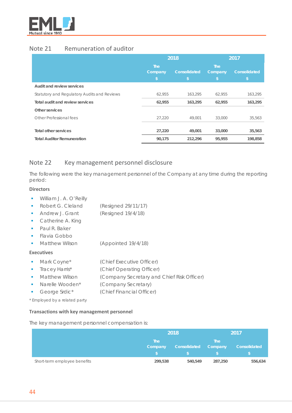

# Note 21 Remuneration of auditor

|                                             |                               | 2018               | 2017                          |                    |
|---------------------------------------------|-------------------------------|--------------------|-------------------------------|--------------------|
|                                             | <b>The</b><br>Company<br>۱\$. | Consolidated<br>\$ | <b>The</b><br>Company<br>۱\$. | Consolidated<br>\$ |
| Audit and review services                   |                               |                    |                               |                    |
| Statutory and Regulatory Audits and Reviews | 62,955                        | 163,295            | 62,955                        | 163,295            |
| Total audit and review services             | 62,955                        | 163,295            | 62,955                        | 163,295            |
| Other services                              |                               |                    |                               |                    |
| Other Professional fees                     | 27,220                        | 49.001             | 33,000                        | 35,563             |
|                                             |                               |                    |                               |                    |
| Total other services                        | 27,220                        | 49,001             | 33,000                        | 35,563             |
| <b>Total Auditor Remuneration</b>           | 90,175                        | 212,296            | 95,955                        | 198,858            |

# Note 22 Key management personnel disclosure

The following were the key management personnel of the Company at any time during the reporting period:

### **Directors**

- **William J. A. O'Reilly**
- Robert G. Cleland (Resigned 29/11/17)
- Andrew J. Grant (Resigned 19/4/18)
- **Catherine A. King**
- **Paul R. Baker**
- **Flavia Gobbo**
- **Matthew Wilson (Appointed 19/4/18)**

# **Executives**

- **Mark Coyne\*** (Chief Executive Officer)
- **Tracey Harris\*** (Chief Operating Officer)
- **Matthew Wilson (Company Secretary and Chief Risk Officer)**
- Narelle Wooden\* (Company Secretary)
- George Srdic\* (Chief Financial Officer)

*\* Employed by a related party*

### **Transactions with key management personnel**

The key management personnel compensation is:

|                              | 2018                  |              | 2017                  |              |
|------------------------------|-----------------------|--------------|-----------------------|--------------|
|                              | <b>The</b><br>Company | Consolidated | <b>The</b><br>Company | Consolidated |
| Short-term employee benefits | 299,538               | 540,549      | 287,250               | 556,634      |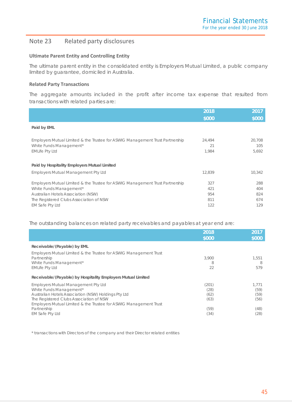# Note 23 Related party disclosures

### **Ultimate Parent Entity and Controlling Entity**

The ultimate parent entity in the consolidated entity is Employers Mutual Limited, a public company limited by guarantee, domiciled in Australia.

### **Related Party Transactions**

The aggregate amounts included in the profit after income tax expense that resulted from transactions with related parties are:

|                                                                                                                                                                                                   | 2018                     | 2017                     |
|---------------------------------------------------------------------------------------------------------------------------------------------------------------------------------------------------|--------------------------|--------------------------|
|                                                                                                                                                                                                   | \$000                    | \$000                    |
| Paid by EML                                                                                                                                                                                       |                          |                          |
| Employers Mutual Limited & the Trustee for ASWIG Management Trust Partnership<br>White Funds Management*<br><b>EMLife Pty Ltd</b>                                                                 | 24,494<br>21<br>1,984    | 20,708<br>105<br>5,692   |
| Paid by Hospitality Employers Mutual Limited                                                                                                                                                      |                          |                          |
| <b>Employers Mutual Management Pty Ltd</b>                                                                                                                                                        | 12,839                   | 10,342                   |
| Employers Mutual Limited & the Trustee for ASWIG Management Trust Partnership<br>White Funds Management*<br><b>Australian Hotels Association (NSW)</b><br>The Registered Clubs Association of NSW | 327<br>421<br>954<br>811 | 288<br>404<br>824<br>674 |
| <b>EM Safe Pty Ltd</b>                                                                                                                                                                            | 122                      | 129                      |

The outstanding balances on related party receivables and payables at year end are:

|                                                                   | 2018<br>\$000 | 2017<br>\$000 |
|-------------------------------------------------------------------|---------------|---------------|
|                                                                   |               |               |
| Receivable/(Payable) by EML                                       |               |               |
| Employers Mutual Limited & the Trustee for ASWIG Management Trust |               |               |
| Partnership                                                       | 3.900         | 1.551         |
| White Funds Management*                                           | 8             | 8             |
| <b>EMLife Pty Ltd</b>                                             | 22            | 579           |
| Receivable/(Payable) by Hospitality Employers Mutual Limited      |               |               |
| <b>Employers Mutual Management Pty Ltd</b>                        | (201)         | 1.771         |
| White Funds Management*                                           | (28)          | (59)          |
| Australian Hotels Association (NSW) Holdings Pty Ltd              | (62)          | (59)          |
| The Registered Clubs Association of NSW                           | (63)          | (56)          |
| Employers Mutual Limited & the Trustee for ASWIG Management Trust |               |               |
| Partnership                                                       | (59)          | (48)          |
| <b>EM Safe Pty Ltd</b>                                            | (34)          | (28)          |

\* transactions with Directors of the company and their Director related entities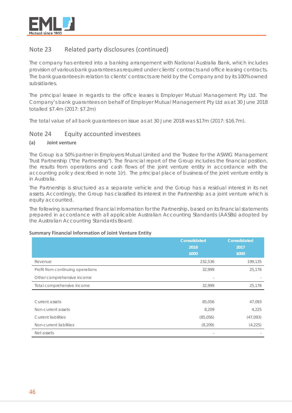

# Note 23 Related party disclosures (continued)

The company has entered into a banking arrangement with National Australia Bank, which includes provision of various bank guarantees as required under clients' contracts and office leasing contracts. The bank guarantees in relation to clients' contracts are held by the Company and by its 100% owned subsidiaries.

The principal lessee in regards to the office leases is Employer Mutual Management Pty Ltd. The Company's bank guarantees on behalf of Employer Mutual Management Pty Ltd as at 30 June 2018 totalled \$7.4m (2017: \$7.2m)

The total value of all bank guarantees on issue as at 30 June 2018 was \$17m (2017: \$16.7m).

# Note 24 Equity accounted investees

# **(a) Joint venture**

The Group is a 50% partner in Employers Mutual Limited and the Trustee for the ASWIG Management Trust Partnership ("the Partnership"). The financial report of the Group includes the financial position, the results from operations and cash flows of the joint venture entity in accordance with the accounting policy described in note 1(r). The principal place of business of the joint venture entity is in Australia.

The Partnership is structured as a separate vehicle and the Group has a residual interest in its net assets. Accordingly, the Group has classified its interest in the Partnership as a joint venture which is equity accounted.

The following is summarised financial information for the Partnership, based on its financial statements prepared in accordance with all applicable Australian Accounting Standards (AASBs) adopted by the Australian Accounting Standards Board.

### **Summary Financial Information of Joint Venture Entity**

|                                   | Consolidated | <b>Consolidated</b> |
|-----------------------------------|--------------|---------------------|
|                                   | 2018         | 2017                |
|                                   | \$000        | \$000               |
| Revenue                           | 232,536      | 199,135             |
| Profit from continuing operations | 32,999       | 25,176              |
| Other comprehensive income        |              |                     |
| Total comprehensive income        | 32,999       | 25,176              |
|                                   |              |                     |
| Current assets                    | 85,056       | 47,093              |
| Non-current assets                | 8,209        | 4,225               |
| <b>Current liabilities</b>        | (85,056)     | (47,093)            |
| Non-current liabilities           | (8, 209)     | (4,225)             |
| Net assets                        |              |                     |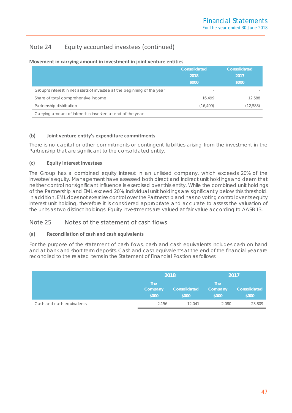# Note 24 Equity accounted investees (continued)

|                                                                         | <b>Consolidated</b><br>2018<br>\$000 | <b>Consolidated</b><br>2017<br>\$000 |
|-------------------------------------------------------------------------|--------------------------------------|--------------------------------------|
| Group's interest in net assets of investee at the beginning of the year |                                      |                                      |
| Share of total comprehensive income                                     | 16.499                               | 12.588                               |
| Partnership distribution                                                | (16, 499)                            | (12, 588)                            |
| Carrying amount of interest in investee at end of the year              |                                      |                                      |

### **Movement in carrying amount in investment in joint venture entities**

# **(b) Joint venture entity's expenditure commitments**

There is no capital or other commitments or contingent liabilities arising from the investment in the Partnership that are significant to the consolidated entity.

# **(c) Equity interest investees**

The Group has a combined equity interest in an unlisted company, which exceeds 20% of the investee's equity. Management have assessed both direct and indirect unit holdings and deem that neither control nor significant influence is exercised over this entity. While the combined unit holdings of the Partnership and EML exceed 20%, individual unit holdings are significantly below this threshold. In addition, EML does not exercise control over the Partnership and has no voting control over its equity interest unit holding, therefore it is considered appropriate and accurate to assess the valuation of the units as two distinct holdings. Equity investments are valued at fair value according to AASB 13.

# Note 25 Notes of the statement of cash flows

# **(a) Reconciliation of cash and cash equivalents**

For the purpose of the statement of cash flows, cash and cash equivalents includes cash on hand and at bank and short term deposits. Cash and cash equivalents at the end of the financial year are reconciled to the related items in the Statement of Financial Position as follows:

|                           | 2018                           |                       | 2017                           |                       |
|---------------------------|--------------------------------|-----------------------|--------------------------------|-----------------------|
|                           | <b>The</b><br>Company<br>\$000 | Consolidated<br>\$000 | <b>The</b><br>Company<br>\$000 | Consolidated<br>\$000 |
| Cash and cash equivalents | 2,156                          | 12.041                | 2,080                          | 23,809                |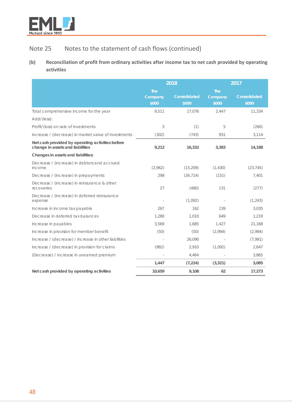

# Note 25 Notes to the statement of cash flows (continued)

# **(b) Reconciliation of profit from ordinary activities after income tax to net cash provided by operating activities**

|                                                                                      | 2018                           |                              | 2017                           |                              |
|--------------------------------------------------------------------------------------|--------------------------------|------------------------------|--------------------------------|------------------------------|
|                                                                                      | <b>The</b><br>Company<br>\$000 | <b>Consolidated</b><br>\$000 | <b>The</b><br>Company<br>\$000 | <b>Consolidated</b><br>\$000 |
| Total comprehensive income for the year                                              | 9,511                          | 17,076                       | 2.447                          | 11,334                       |
| Add/(less):                                                                          |                                |                              |                                |                              |
| Profit/(loss) on sale of investments                                                 | 3                              | (1)                          | 5                              | (260)                        |
| Increase / (decrease) in market value of investments                                 | (302)                          | (743)                        | 931                            | 3,114                        |
| Net cash provided by operating activities before<br>change in assets and liabilities | 9,212                          | 16,332                       | 3,383                          | 14,188                       |
| Changes in assets and liabilities:                                                   |                                |                              |                                |                              |
| Decrease / (increase) in debtors and accrued<br>income                               | (2,962)                        | (15, 209)                    | (1, 430)                       | (23, 745)                    |
| Decrease / (increase) in prepayments                                                 | 298                            | (26, 714)                    | (151)                          | 7,401                        |
| Decrease / (increase) in reinsurance & other<br>recoveries                           | 27                             | (480)                        | 131                            | (277)                        |
| Decrease / (increase) in deferred reinsurance<br>expense                             |                                | (1,092)                      |                                | (1, 243)                     |
| Increase in income tax payable                                                       | 267                            | 162                          | 139                            | 3,035                        |
| Decrease in deferred tax balances                                                    | 1,280                          | 1,010                        | 649                            | 1,219                        |
| Increase in payables                                                                 | 3,569                          | 1.685                        | 1,427                          | 21,168                       |
| Increase in provision for member benefit                                             | (50)                           | (50)                         | (2,994)                        | (2,994)                      |
| Increase / (decrease) / increase in other liabilities                                |                                | 26,090                       |                                | (7,991)                      |
| Increase / (decrease) in provision for claims                                        | (982)                          | 2,910                        | (1,092)                        | 2,647                        |
| (Decrease) / increase in unearned premium                                            |                                | 4,464                        |                                | 3,865                        |
|                                                                                      | 1,447                          | (7, 224)                     | (3, 321)                       | 3,085                        |
| Net cash provided by operating activities                                            | 10,659                         | 9,108                        | 62                             | 17,273                       |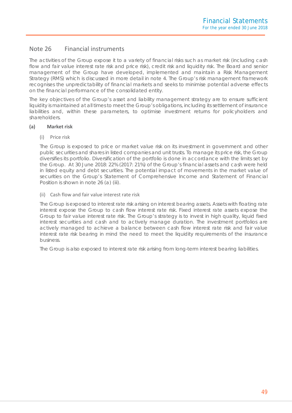# Note 26 Financial instruments

The activities of the Group expose it to a variety of financial risks such as market risk (including cash flow and fair value interest rate risk and price risk), credit risk and liquidity risk. The Board and senior management of the Group have developed, implemented and maintain a Risk Management Strategy (RMS) which is discussed in more detail in note 4. The Group's risk management framework recognises the unpredictability of financial markets and seeks to minimise potential adverse effects on the financial performance of the consolidated entity.

The key objectives of the Group's asset and liability management strategy are to ensure sufficient liquidity is maintained at all times to meet the Group's obligations, including its settlement of insurance liabilities and, within these parameters, to optimise investment returns for policyholders and shareholders.

### **(a) Market risk**

### (i) Price risk

The Group is exposed to price or market value risk on its investment in government and other public securities and shares in listed companies and unit trusts. To manage its price risk, the Group diversifies its portfolio. Diversification of the portfolio is done in accordance with the limits set by the Group. At 30 June 2018: 22% (2017: 21%) of the Group's financial assets and cash were held in listed equity and debt securities. The potential impact of movements in the market value of securities on the Group's Statement of Comprehensive Income and Statement of Financial Position is shown in note 26 (a) (iii).

### (ii) Cash flow and fair value interest rate risk

The Group is exposed to interest rate risk arising on interest bearing assets. Assets with floating rate interest expose the Group to cash flow interest rate risk. Fixed interest rate assets expose the Group to fair value interest rate risk. The Group's strategy is to invest in high quality, liquid fixed interest securities and cash and to actively manage duration. The investment portfolios are actively managed to achieve a balance between cash flow interest rate risk and fair value interest rate risk bearing in mind the need to meet the liquidity requirements of the insurance business.

The Group is also exposed to interest rate risk arising from long-term interest bearing liabilities.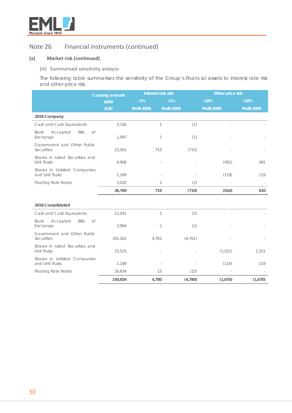

# **(a) Market risk (continued)**

### (iii) Summarised sensitivity analysis

The following table summarises the sensitivity of the Group's financial assets to interest rate risk and other price risk.

|                                                  | <b>Carrying amount</b> | Interest rate risk  |                     | Other price risk    |                          |
|--------------------------------------------------|------------------------|---------------------|---------------------|---------------------|--------------------------|
|                                                  | \$000                  | $-1%$               | $+1%$               | $-10%$              | $+10%$                   |
|                                                  | <b>AUD</b>             | <b>Profit \$000</b> | <b>Profit \$000</b> | <b>Profit \$000</b> | <b>Profit \$000</b>      |
| 2018 Company                                     |                        |                     |                     |                     |                          |
| Cash and Cash Equivalents                        | 2,156                  | $\mathbb{1}$        | (1)                 |                     |                          |
| Bank<br>Accepted<br><b>Bills</b><br>Exchange     | of<br>1,997            | 1                   | (1)                 |                     |                          |
| Government and Other Public<br><b>Securities</b> | 23,501                 | 715                 | (715)               |                     |                          |
| Shares in Listed Securities and<br>Unit Trusts   | 4,906                  |                     |                     | (491)               | 491                      |
| Shares in Unlisted Companies<br>and Unit Trusts  | 1,189                  |                     |                     | (119)               | 119                      |
| <b>Floating Rate Notes</b>                       | 3,020                  | $\overline{2}$      | (2)                 |                     | $\overline{\phantom{a}}$ |
|                                                  | 36,769                 | 719                 | (719)               | (610)               | 610                      |
|                                                  |                        |                     |                     |                     |                          |
| 2018 Consolidated                                |                        |                     |                     |                     |                          |
| Cash and Cash Equivalents                        | 12,041                 | $\overline{2}$      | (2)                 |                     |                          |
| Bank<br>Accepted<br>Bills<br>Exchange            | of<br>3,994            | $\overline{2}$      | (2)                 |                     |                          |
| Government and Other Public<br><b>Securities</b> | 101,261                | 4,761               | (4, 761)            |                     |                          |
| Shares in Listed Securities and<br>Unit Trusts   | 15,515                 |                     |                     | (1, 551)            | 1,551                    |
| Shares in Unlisted Companies<br>and Unit Trusts  | 1,189                  |                     |                     | (119)               | 119                      |
| <b>Floating Rate Notes</b>                       | 16,834                 | 15                  | (15)                |                     |                          |
|                                                  | 150,834                | 4,780               | (4,780)             | (1,670)             | (1,670)                  |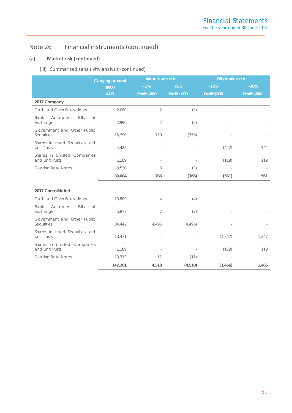# **(a) Market risk (continued)**

# (iii) Summarised sensitivity analysis (continued)

|                                                       | <b>Carrying amount</b> | Interest rate risk  |                     |                     |                     | Other price risk |  |
|-------------------------------------------------------|------------------------|---------------------|---------------------|---------------------|---------------------|------------------|--|
|                                                       | \$000                  | $-1%$               | $+1%$               | $-10%$              | $+10%$              |                  |  |
|                                                       | <b>AUD</b>             | <b>Profit \$000</b> | <b>Profit \$000</b> | <b>Profit \$000</b> | <b>Profit \$000</b> |                  |  |
| 2017 Company                                          |                        |                     |                     |                     |                     |                  |  |
| Cash and Cash Equivalents                             | 2,080                  | $\overline{2}$      | (2)                 |                     |                     |                  |  |
| Bank<br>Accepted<br>Bills<br>of<br>Exchange           | 2,990                  | $\overline{2}$      | (2)                 |                     |                     |                  |  |
| Government and Other Public<br><b>Securities</b>      | 15,790                 | 759                 | (759)               |                     |                     |                  |  |
| Shares in Listed Securities and<br>Unit Trusts        | 4,425                  |                     |                     | (442)               | 442                 |                  |  |
| Shares in Unlisted Companies<br>and Unit Trusts       | 1,189                  |                     |                     | (119)               | 119                 |                  |  |
| <b>Floating Rate Notes</b>                            | 3,530                  | 3                   | (3)                 |                     |                     |                  |  |
|                                                       | 30,004                 | 766                 | (766)               | (561)               | 561                 |                  |  |
|                                                       |                        |                     |                     |                     |                     |                  |  |
| 2017 Consolidated                                     |                        |                     |                     |                     |                     |                  |  |
| Cash and Cash Equivalents                             | 23,809                 | $\overline{4}$      | (4)                 |                     |                     |                  |  |
| Bank<br>Accepted<br><b>Bills</b><br>of<br>Exchange    | 5,977                  | 7                   | (7)                 |                     |                     |                  |  |
| Government and Other Public<br>Securities             | 84,442                 | 4,496               | (4,496)             |                     |                     |                  |  |
| Shares in Listed Securities and<br><b>Unit Trusts</b> | 13,471                 |                     |                     | (1, 347)            | 1,347               |                  |  |
| Shares in Unlisted Companies<br>and Unit Trusts       | 1,189                  |                     |                     | (119)               | 119                 |                  |  |
| <b>Floating Rate Notes</b>                            | 13,313                 | 11                  | (11)                |                     |                     |                  |  |
|                                                       | 142,201                | 4,518               | (4, 518)            | (1,466)             | 1,466               |                  |  |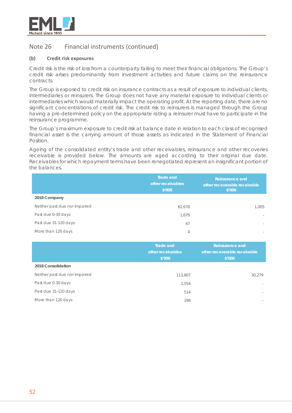

### **(b) Credit risk exposures**

Credit risk is the risk of loss from a counterparty failing to meet their financial obligations. The Group's credit risk arises predominantly from investment activities and future claims on the reinsurance contracts.

The Group is exposed to credit risk on insurance contracts as a result of exposure to individual clients, intermediaries or reinsurers. The Group does not have any material exposure to individual clients or intermediaries which would materially impact the operating profit. At the reporting date, there are no significant concentrations of credit risk. The credit risk to reinsurers is managed through the Group having a pre-determined policy on the appropriate rating a reinsurer must have to participate in the reinsurance programme.

The Group's maximum exposure to credit risk at balance date in relation to each class of recognised financial asset is the carrying amount of those assets as indicated in the Statement of Financial Position.

Ageing of the consolidated entity's trade and other receivables, reinsurance and other recoveries receivable is provided below. The amounts are aged according to their original due date. Receivables for which repayment terms have been renegotiated represent an insignificant portion of the balances.

|                               | <b>Trade and</b><br>other receivables<br>\$′000 | <b>Reinsurance and</b><br>other recoverable receivable<br>\$'000 |
|-------------------------------|-------------------------------------------------|------------------------------------------------------------------|
| 2018 Company                  |                                                 |                                                                  |
| Neither past due nor impaired | 62,678                                          | 1,005                                                            |
| Past due 0-30 days            | 1,679                                           | $\sim$                                                           |
| Past due 31-120 days          | 47                                              | $\sim$                                                           |
| More than 120 days            | 4                                               | $\sim$                                                           |

|                               | Trade and<br>other receivables<br>\$'000 | Reinsurance and<br>other recoverable receivable<br>\$′000 |
|-------------------------------|------------------------------------------|-----------------------------------------------------------|
| 2018 Consolidation            |                                          |                                                           |
| Neither past due nor impaired | 113,807                                  | 30,279                                                    |
| Past due 0-30 days            | 2,554                                    | $\sim$                                                    |
| Past due 31-120 days          | 514                                      |                                                           |
| More than 120 days            | 198                                      |                                                           |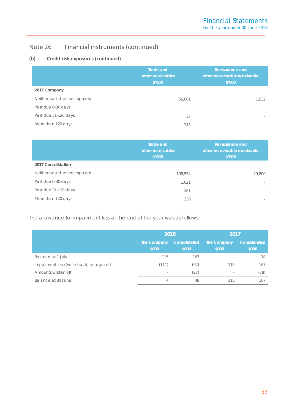# **(b) Credit risk exposures (continued)**

|                               | <b>Trade and</b><br>other receivables<br>\$'000 | Reinsurance and<br>other recoverable receivable<br>\$'000 |
|-------------------------------|-------------------------------------------------|-----------------------------------------------------------|
| 2017 Company                  |                                                 |                                                           |
| Neither past due nor impaired | 56,001                                          | 1,032                                                     |
| Past due 0-30 days            | $\overline{\phantom{a}}$                        | $\sim$                                                    |
| Past due 31-120 days          | 37                                              | $\sim$                                                    |
| More than 120 days            | 115                                             | $\sim$                                                    |

|                               | <b>Trade and</b><br>other receivables<br>\$'000 | <b>Reinsurance and</b><br>other recoverable receivable<br>\$'000 |
|-------------------------------|-------------------------------------------------|------------------------------------------------------------------|
| 2017 Consolidation            |                                                 |                                                                  |
| Neither past due nor impaired | 108,554                                         | 29,800                                                           |
| Past due 0-30 days            | 1.021                                           | $\sim$                                                           |
| Past due 31-120 days          | 381                                             | $\sim$                                                           |
| More than 120 days            | 338                                             | $\sim$                                                           |

The allowance for impairment loss at the end of the year was as follows:

|                                         | 2018                 |                       | 2017                     |                       |  |
|-----------------------------------------|----------------------|-----------------------|--------------------------|-----------------------|--|
|                                         | The Company<br>\$000 | Consolidated<br>\$000 | The Company<br>\$000     | Consolidated<br>\$000 |  |
| Balance at 1 July                       | 115                  | 167                   |                          | 78                    |  |
| Impairment loss/(write back) recognised | (111)                | (92)                  | 115                      | 167                   |  |
| Amounts written off                     | $\sim$               | (27)                  | $\overline{\phantom{a}}$ | (78)                  |  |
| Balance at 30 June                      | 4                    | 48                    | 115                      | 167                   |  |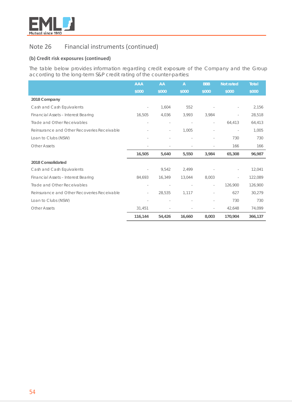

# **(b) Credit risk exposures (continued)**

The table below provides information regarding credit exposure of the Company and the Group according to the long-term S&P credit rating of the counter-parties:

|                                             | <b>AAA</b>               | AA     | $\overline{A}$ | <b>BBB</b>               | <b>Not rated</b> | <b>Total</b> |
|---------------------------------------------|--------------------------|--------|----------------|--------------------------|------------------|--------------|
|                                             | \$000                    | \$000  | \$000          | \$000                    | \$000            | \$000        |
| 2018 Company                                |                          |        |                |                          |                  |              |
| Cash and Cash Equivalents                   | $\overline{\phantom{a}}$ | 1,604  | 552            |                          |                  | 2,156        |
| Financial Assets - Interest Bearing         | 16,505                   | 4,036  | 3,993          | 3,984                    |                  | 28,518       |
| Trade and Other Receivables                 |                          |        |                | $\sim$                   | 64,413           | 64,413       |
| Reinsurance and Other Recoveries Receivable |                          | L,     | 1,005          |                          |                  | 1.005        |
| Loan to Clubs (NSW)                         |                          |        |                |                          | 730              | 730          |
| <b>Other Assets</b>                         | $\overline{\phantom{a}}$ | $\sim$ | ä,             |                          | 166              | 166          |
|                                             | 16,505                   | 5,640  | 5,550          | 3,984                    | 65,308           | 96,987       |
| 2018 Consolidated                           |                          |        |                |                          |                  |              |
| Cash and Cash Equivalents                   |                          | 9,542  | 2,499          |                          |                  | 12,041       |
| Financial Assets - Interest Bearing         | 84,693                   | 16,349 | 13,044         | 8,003                    |                  | 122,089      |
| Trade and Other Receivables                 |                          |        |                | $\overline{\phantom{a}}$ | 126,900          | 126,900      |
| Reinsurance and Other Recoveries Receivable | $\overline{\phantom{a}}$ | 28,535 | 1.117          | $\overline{\phantom{a}}$ | 627              | 30,279       |
| Loan to Clubs (NSW)                         |                          |        |                | $\overline{\phantom{a}}$ | 730              | 730          |
| <b>Other Assets</b>                         | 31,451                   |        |                | $\overline{\phantom{a}}$ | 42,648           | 74,099       |
|                                             | 116,144                  | 54,426 | 16,660         | 8,003                    | 170,904          | 366,137      |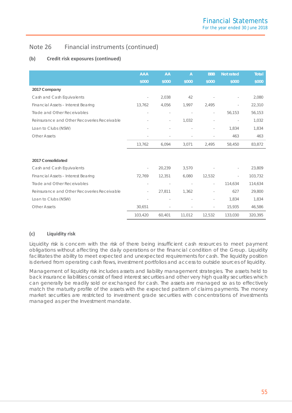# **(b) Credit risk exposures (continued)**

|                                             | <b>AAA</b>               | AA                       | $\overline{A}$           | <b>BBB</b>               | <b>Not rated</b>         | <b>Total</b> |
|---------------------------------------------|--------------------------|--------------------------|--------------------------|--------------------------|--------------------------|--------------|
|                                             | \$000                    | \$000                    | \$000                    | \$000                    | \$000                    | \$000        |
| 2017 Company                                |                          |                          |                          |                          |                          |              |
| Cash and Cash Equivalents                   | $\overline{\phantom{a}}$ | 2,038                    | 42                       |                          |                          | 2,080        |
| Financial Assets - Interest Bearing         | 13,762                   | 4,056                    | 1,997                    | 2,495                    |                          | 22,310       |
| Trade and Other Receivables                 |                          |                          | $\overline{\phantom{a}}$ | $\sim$                   | 56,153                   | 56,153       |
| Reinsurance and Other Recoveries Receivable |                          | $\bar{a}$                | 1,032                    |                          | $\overline{\phantom{a}}$ | 1,032        |
| Loan to Clubs (NSW)                         |                          |                          |                          | $\sim$                   | 1,834                    | 1,834        |
| <b>Other Assets</b>                         |                          |                          |                          |                          | 463                      | 463          |
|                                             | 13,762                   | 6,094                    | 3,071                    | 2,495                    | 58,450                   | 83,872       |
|                                             |                          |                          |                          |                          |                          |              |
| 2017 Consolidated                           |                          |                          |                          |                          |                          |              |
| Cash and Cash Equivalents                   | $\overline{\phantom{a}}$ | 20,239                   | 3,570                    |                          |                          | 23,809       |
| Financial Assets - Interest Bearing         | 72,769                   | 12,351                   | 6,080                    | 12,532                   |                          | 103,732      |
| Trade and Other Receivables                 | $\bar{a}$                | $\overline{\phantom{a}}$ | $\sim$                   | $\overline{\phantom{a}}$ | 114,634                  | 114,634      |
| Reinsurance and Other Recoveries Receivable | $\bar{a}$                | 27,811                   | 1,362                    |                          | 627                      | 29,800       |
| Loan to Clubs (NSW)                         |                          |                          |                          | $\sim$                   | 1,834                    | 1,834        |
| <b>Other Assets</b>                         | 30.651                   |                          |                          | $\overline{\phantom{a}}$ | 15,935                   | 46,586       |
|                                             | 103,420                  | 60,401                   | 11,012                   | 12,532                   | 133,030                  | 320,395      |

# **(c) Liquidity risk**

Liquidity risk is concern with the risk of there being insufficient cash resources to meet payment obligations without affecting the daily operations or the financial condition of the Group. Liquidity facilitates the ability to meet expected and unexpected requirements for cash. The liquidity position is derived from operating cash flows, investment portfolios and access to outside sources of liquidity.

Management of liquidity risk includes assets and liability management strategies. The assets held to back insurance liabilities consist of fixed interest securities and other very high quality securities which can generally be readily sold or exchanged for cash. The assets are managed so as to effectively match the maturity profile of the assets with the expected pattern of claims payments. The money market securities are restricted to investment grade securities with concentrations of investments managed as per the Investment mandate.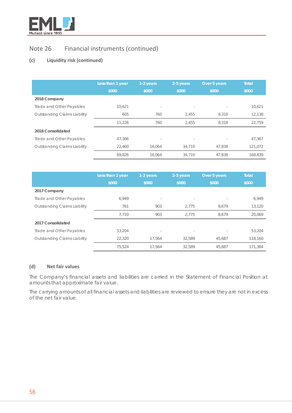

# **(c) Liquidity risk (continued)**

|                                     | Less than 1 year | 1-2 years                | 2-5 years | Over 5 years | <b>Total</b> |
|-------------------------------------|------------------|--------------------------|-----------|--------------|--------------|
|                                     | \$000            | \$000                    | \$000     | \$000        | \$000        |
| 2018 Company                        |                  |                          |           |              |              |
| Trade and Other Payables            | 10,621           | $\sim$                   | $\sim$    |              | 10,621       |
| <b>Outstanding Claims Liability</b> | 605              | 760                      | 2,455     | 8,318        | 12,138       |
|                                     | 11.226           | 760                      | 2,455     | 8.318        | 22.759       |
| 2018 Consolidated                   |                  |                          |           |              |              |
| Trade and Other Payables            | 47.366           | $\overline{\phantom{a}}$ |           |              | 47,367       |
| <b>Outstanding Claims Liability</b> | 22.460           | 16.064                   | 34,710    | 47.838       | 121,072      |
|                                     | 69.826           | 16.064                   | 34,710    | 47.838       | 168,439      |

|                                     | Less than 1 year<br>\$000 | 1-2 years<br>\$000 | 2-5 years<br>\$000 | Over 5 years<br>\$000 | <b>Total</b><br>\$000 |
|-------------------------------------|---------------------------|--------------------|--------------------|-----------------------|-----------------------|
| 2017 Company                        |                           |                    |                    |                       |                       |
| Trade and Other Payables            | 6.949                     | $\sim$             | $\sim$             |                       | 6,949                 |
| <b>Outstanding Claims Liability</b> | 761                       | 903                | 2.775              | 8.679                 | 13,120                |
|                                     | 7.710                     | 903                | 2.775              | 8.679                 | 20,069                |
| 2017 Consolidated                   |                           |                    |                    |                       |                       |
| Trade and Other Payables            | 53,204                    |                    |                    |                       | 53,204                |
| Outstanding Claims Liability        | 22,320                    | 17.564             | 32.589             | 45,687                | 118,160               |
|                                     | 75.524                    | 17.564             | 32.589             | 45.687                | 171.364               |

# **(d) Net fair values**

The Company's financial assets and liabilities are carried in the Statement of Financial Position at amounts that approximate fair value.

The carrying amounts of all financial assets and liabilities are reviewed to ensure they are not in excess of the net fair value.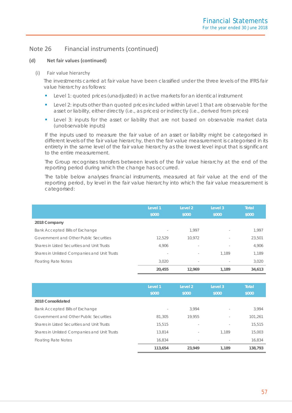### **(d) Net fair values (continued)**

### (i) Fair value hierarchy

The investments carried at fair value have been classified under the three levels of the IFRS fair value hierarchy as follows:

- **Level 1: quoted prices (unadjusted) in active markets for an identical instrument**
- **Level 2: inputs other than quoted prices included within Level 1 that are observable for the** asset or liability, either directly (i.e., as prices) or indirectly (i.e., derived from prices)
- **Level 3: inputs for the asset or liability that are not based on observable market data** (unobservable inputs)

If the inputs used to measure the fair value of an asset or liability might be categorised in different levels of the fair value hierarchy, then the fair value measurement is categorised in its entirety in the same level of the fair value hierarchy as the lowest level input that is significant to the entire measurement.

The Group recognises transfers between levels of the fair value hierarchy at the end of the reporting period during which the change has occurred.

The table below analyses financial instruments, measured at fair value at the end of the reporting period, by level in the fair value hierarchy into which the fair value measurement is categorised:

|                                              | Level 1<br>\$000 | Level 2<br>\$000         | Level 3<br>\$000         | <b>Total</b><br>\$000 |
|----------------------------------------------|------------------|--------------------------|--------------------------|-----------------------|
| 2018 Company                                 |                  |                          |                          |                       |
| Bank Accepted Bills of Exchange              | $\sim$           | 1.997                    |                          | 1.997                 |
| Government and Other Public Securities       | 12.529           | 10.972                   |                          | 23,501                |
| Shares in Listed Securities and Unit Trusts  | 4.906            | $\sim$                   | $\sim$                   | 4,906                 |
| Shares in Unlisted Companies and Unit Trusts | $\sim$           | $\sim$                   | 1.189                    | 1,189                 |
| <b>Floating Rate Notes</b>                   | 3.020            | $\overline{\phantom{a}}$ | $\overline{\phantom{a}}$ | 3,020                 |
|                                              | 20,455           | 12.969                   | 1.189                    | 34,613                |

|                                              | Level 1<br>\$000         | Level <sub>2</sub><br>\$000 | Level 3<br>\$000 | <b>Total</b><br>\$000 |
|----------------------------------------------|--------------------------|-----------------------------|------------------|-----------------------|
| 2018 Consolidated                            |                          |                             |                  |                       |
| Bank Accepted Bills of Exchange              | $\overline{\phantom{a}}$ | 3.994                       |                  | 3.994                 |
| Government and Other Public Securities       | 81,305                   | 19.955                      | $\sim$           | 101,261               |
| Shares in Listed Securities and Unit Trusts  | 15,515                   | $\sim$                      | $\sim$           | 15,515                |
| Shares in Unlisted Companies and Unit Trusts | 13,814                   | $\overline{\phantom{a}}$    | 1.189            | 15,003                |
| <b>Floating Rate Notes</b>                   | 16,834                   | $\sim$                      |                  | 16,834                |
|                                              | 113,654                  | 23,949                      | 1.189            | 138,793               |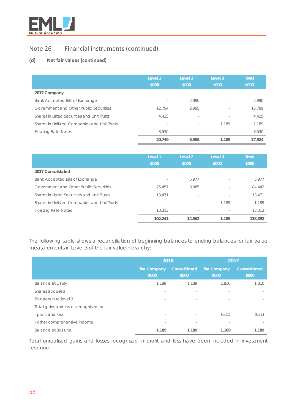

# **(d) Net fair values (continued)**

|                                              | Level 1<br>\$000 | Level 2<br>\$000         | Level 3<br>\$000 | <b>Total</b><br>\$000 |
|----------------------------------------------|------------------|--------------------------|------------------|-----------------------|
| 2017 Company                                 |                  |                          |                  |                       |
| Bank Accepted Bills of Exchange              | $\sim$           | 2.990                    | $\sim$           | 2,990                 |
| Government and Other Public Securities       | 12.794           | 2.995                    | $\sim$           | 15,789                |
| Shares in Listed Securities and Unit Trusts  | 4,425            | $\overline{\phantom{a}}$ | $\sim$           | 4,425                 |
| Shares in Unlisted Companies and Unit Trusts | $\sim$           | $\sim$                   | 1.189            | 1,189                 |
| <b>Floating Rate Notes</b>                   | 3.530            | $\overline{\phantom{a}}$ |                  | 3,530                 |
|                                              | 20,749           | 5,985                    | 1.189            | 27.924                |

|                                              | Level 1<br>\$000         | Level 2<br>\$000         | Level 3<br>\$000 | Total<br>\$000 |
|----------------------------------------------|--------------------------|--------------------------|------------------|----------------|
| 2017 Consolidated                            |                          |                          |                  |                |
| Bank Accepted Bills of Exchange              | $\overline{\phantom{a}}$ | 5.977                    | $\sim$           | 5.977          |
| Government and Other Public Securities       | 75.457                   | 8.985                    | $\sim$           | 84,442         |
| Shares in Listed Securities and Unit Trusts  | 13,471                   | $\sim$                   | $\sim$           | 13,471         |
| Shares in Unlisted Companies and Unit Trusts | $\overline{\phantom{a}}$ | $\overline{\phantom{a}}$ | 1.189            | 1.189          |
| <b>Floating Rate Notes</b>                   | 13,313                   | $\overline{\phantom{a}}$ | $\sim$           | 13,313         |
|                                              | 102,241                  | 14.962                   | 1.189            | 118,392        |

The following table shows a reconciliation of beginning balances to ending balances for fair value measurements in Level 3 of the fair value hierarchy:

|                                       | 2018                     |                          | 2017                 |                          |
|---------------------------------------|--------------------------|--------------------------|----------------------|--------------------------|
|                                       | The Company<br>\$000     | Consolidated<br>\$000    | The Company<br>\$000 | Consolidated<br>\$000    |
| Balance at 1 July                     | 1,189                    | 1.189                    | 1,810                | 1,810                    |
| Shares acquired                       | $\sim$                   | $\sim$                   | $\sim$               |                          |
| Transfers in to level 3               | $\overline{\phantom{a}}$ | $\overline{\phantom{a}}$ | $\sim$               | $\overline{\phantom{a}}$ |
| Total gains and losses recognised in: |                          |                          |                      |                          |
| - profit and loss                     | $\overline{\phantom{a}}$ | $\overline{\phantom{a}}$ | (621)                | (621)                    |
| - other comprehensive income          | $\overline{\phantom{a}}$ | $\sim$                   | $\sim$               |                          |
| Balance at 30 June                    | 1,189                    | 1,189                    | 1,189                | 1.189                    |

Total unrealised gains and losses recognised in profit and loss have been included in investment revenue.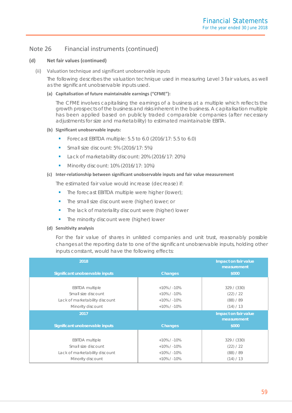### **(d) Net fair values (continued)**

(ii) Valuation technique and significant unobservable inputs

The following describes the valuation technique used in measuring Level 3 fair values, as well as the significant unobservable inputs used.

### **(a) Capitalisation of future maintainable earnings ("CFME"):**

The CFME involves capitalising the earnings of a business at a multiple which reflects the growth prospects of the business and risks inherent in the business. A capitalisation multiple has been applied based on publicly traded comparable companies (after necessary adjustments for size and marketability) to estimated maintainable EBITA.

### **(b) Significant unobservable inputs:**

- Forecast EBITDA multiple:  $5.5$  to  $6.0$  (2016/17:  $5.5$  to  $6.0$ )
- **Small size discount: 5% (2016/17: 5%)**
- Lack of marketability discount: 20% (2016/17: 20%)
- Minority discount: 10% (2016/17: 10%)

### **(c) Inter-relationship between significant unobservable inputs and fair value measurement**

The estimated fair value would increase (decrease) if:

- The forecast EBITDA multiple were higher (lower);
- **The small size discount were (higher) lower; or**
- **The lack of materiality discount were (higher) lower**
- **The minority discount were (higher) lower**

### **(d) Sensitivity analysis**

For the fair value of shares in unlisted companies and unit trust, reasonably possible changes at the reporting date to one of the significant unobservable inputs, holding other inputs constant, would have the following effects:

| 2018                            |                | Impact on fair value<br>measurement |
|---------------------------------|----------------|-------------------------------------|
| Significant unobservable inputs | <b>Changes</b> | \$000                               |
|                                 |                |                                     |
| <b>EBITDA</b> multiple          | $+10\%$ / -10% | 329 / (330)                         |
| Small size discount             | $+10\%$ / -10% | (22) / 22                           |
| Lack of marketability discount  | $+10\%$ / -10% | (88) / 89                           |
| Minority discount               | $+10\%$ / -10% | (14) / 13                           |
| 2017                            |                | Impact on fair value                |
|                                 |                | measurement                         |
| Significant unobservable inputs | <b>Changes</b> | \$000                               |
|                                 |                |                                     |
| <b>EBITDA</b> multiple          | $+10\%$ / -10% | 329 / (330)                         |
| Small size discount             | $+10\%$ / -10% | (22) / 22                           |
| Lack of marketability discount  | $+10\%$ / -10% | (88) / 89                           |
| Minority discount               | $+10\%$ / -10% | (14) / 13                           |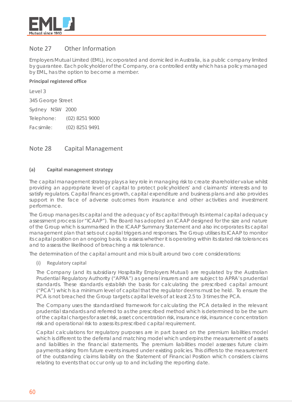

# Note 27 Other Information

Employers Mutual Limited (EML), incorporated and domiciled in Australia, is a public company limited by guarantee. Each policyholder of the Company, or a controlled entity which has a policy managed by EML, has the option to become a member.

# **Principal registered office**

Level 3 345 George Street Sydney NSW 2000 Telephone: (02) 8251 9000 Facsimile: (02) 8251 9491

# Note 28 Capital Management

# **(a) Capital management strategy**

The capital management strategy plays a key role in managing risk to create shareholder value whilst providing an appropriate level of capital to protect policyholders' and claimants' interests and to satisfy regulators. Capital finances growth, capital expenditure and business plans and also provides support in the face of adverse outcomes from insurance and other activities and investment performance.

The Group manages its capital and the adequacy of its capital through its internal capital adequacy assessment process (or "ICAAP"). The Board has adopted an ICAAP designed for the size and nature of the Group which is summarised in the ICAAP Summary Statement and also incorporates its capital management plan that sets out capital triggers and responses. The Group utilises its ICAAP to monitor its capital position on an ongoing basis, to assess whether it is operating within its stated risk tolerances and to assess the likelihood of breaching a risk tolerance.

The determination of the capital amount and mix is built around two core considerations:

### (i) Regulatory capital

The Company (and its subsidiary Hospitality Employers Mutual) are regulated by the Australian Prudential Regulatory Authority ("APRA") as general insurers and are subject to APRA's prudential standards. These standards establish the basis for calculating the prescribed capital amount ("PCA") which is a minimum level of capital that the regulator deems must be held. To ensure the PCA is not breached the Group targets capital levels of at least 2.5 to 3 times the PCA.

The Company uses the standardised framework for calculating the PCA detailed in the relevant prudential standards and referred to as the prescribed method which is determined to be the sum of the capital charges for asset risk, asset concentration risk, insurance risk, insurance concentration risk and operational risk to assess its prescribed capital requirement.

Capital calculations for regulatory purposes are in part based on the premium liabilities model which is different to the deferral and matching model which underpins the measurement of assets and liabilities in the financial statements. The premium liabilities model assesses future claim payments arising from future events insured under existing policies. This differs to the measurement of the outstanding claims liability on the Statement of Financial Position which considers claims relating to events that occur only up to and including the reporting date.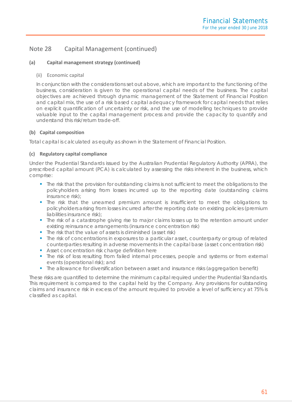# Note 28 Capital Management (continued)

# **(a) Capital management strategy (continued)**

### (ii) Economic capital

In conjunction with the considerations set out above, which are important to the functioning of the business, consideration is given to the operational capital needs of the business. The capital objectives are achieved through dynamic management of the Statement of Financial Position and capital mix, the use of a risk based capital adequacy framework for capital needs that relies on explicit quantification of uncertainty or risk, and the use of modelling techniques to provide valuable input to the capital management process and provide the capacity to quantify and understand this risk/return trade-off.

### **(b) Capital composition**

Total capital is calculated as equity as shown in the Statement of Financial Position.

### **(c) Regulatory capital compliance**

Under the Prudential Standards issued by the Australian Prudential Regulatory Authority (APRA), the prescribed capital amount (PCA) is calculated by assessing the risks inherent in the business, which comprise:

- The risk that the provision for outstanding claims is not sufficient to meet the obligations to the policyholders arising from losses incurred up to the reporting date (outstanding claims insurance risk);
- The risk that the unearned premium amount is insufficient to meet the obligations to policyholders arising from losses incurred after the reporting date on existing policies (premium liabilities insurance risk);
- The risk of a catastrophe giving rise to major claims losses up to the retention amount under existing reinsurance arrangements (insurance concentration risk)
- The risk that the value of assets is diminished (asset risk)
- The risk of concentrations in exposures to a particular asset, counterparty or group of related counterparties resulting in adverse movements in the capital base (asset concentration risk)
- Asset concentration risk charge definition here
- The risk of loss resulting from failed internal processes, people and systems or from external events (operational risk); and
- The allowance for diversification between asset and insurance risks (aggregation benefit)

These risks are quantified to determine the minimum capital required under the Prudential Standards. This requirement is compared to the capital held by the Company. Any provisions for outstanding claims and insurance risk in excess of the amount required to provide a level of sufficiency at 75% is classified as capital.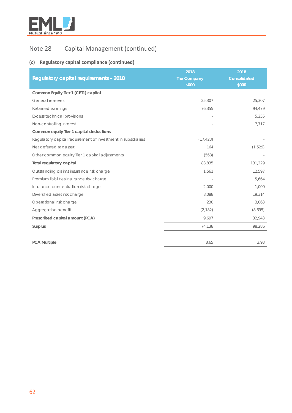

# Note 28 Capital Management (continued)

# **(c) Regulatory capital compliance (continued)**

|                                                              | 2018               | 2018         |
|--------------------------------------------------------------|--------------------|--------------|
| <b>Regulatory capital requirements - 2018</b>                | <b>The Company</b> | Consolidated |
|                                                              | \$000              | \$000        |
| Common Equity Tier 1 (CET1) capital                          |                    |              |
| General reserves                                             | 25,307             | 25,307       |
| Retained earnings                                            | 76,355             | 94,479       |
| Excess technical provisions                                  |                    | 5,255        |
| Non-controlling interest                                     |                    | 7,717        |
| Common equity Tier 1 capital deductions                      |                    |              |
| Regulatory capital requirement of investment in subsidiaries | (17, 423)          |              |
| Net deferred tax asset                                       | 164                | (1,529)      |
| Other common equity Tier 1 capital adjustments               | (568)              |              |
| <b>Total regulatory capital</b>                              | 83,835             | 131,229      |
| Outstanding claims insurance risk charge                     | 1,561              | 12,597       |
| Premium liabilities insurance risk charge                    |                    | 5,664        |
| Insurance concentration risk charge                          | 2,000              | 1,000        |
| Diversified asset risk charge                                | 8,088              | 19,314       |
| Operational risk charge                                      | 230                | 3,063        |
| Aggregation benefit                                          | (2, 182)           | (8,695)      |
| Prescribed capital amount (PCA)                              | 9,697              | 32,943       |
| Surplus                                                      | 74,138             | 98,286       |
|                                                              |                    |              |
| <b>PCA Multiple</b>                                          | 8.65               | 3.98         |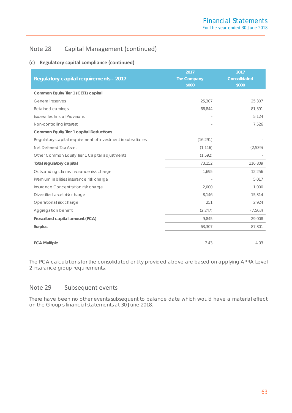# Note 28 Capital Management (continued)

# **(c) Regulatory capital compliance (continued)**

|                                                              | 2017               | 2017                |
|--------------------------------------------------------------|--------------------|---------------------|
| <b>Regulatory capital requirements - 2017</b>                | <b>The Company</b> | <b>Consolidated</b> |
|                                                              | \$000              | \$000               |
| Common Equity Tier 1 (CET1) capital                          |                    |                     |
| General reserves                                             | 25,307             | 25,307              |
| Retained earnings                                            | 66,844             | 81,391              |
| <b>Excess Technical Provisions</b>                           |                    | 5,124               |
| Non-controlling interest                                     |                    | 7,526               |
| Common Equity Tier 1 capital Deductions                      |                    |                     |
| Regulatory capital requirement of investment in subsidiaries | (16, 291)          |                     |
| Net Deferred Tax Asset                                       | (1, 116)           | (2,539)             |
| Other Common Equity Tier 1 Capital adjustments               | (1, 592)           |                     |
| Total regulatory capital                                     | 73,152             | 116,809             |
| Outstanding claims insurance risk charge                     | 1,695              | 12,256              |
| Premium liabilities insurance risk charge                    |                    | 5,017               |
| Insurance Concentration risk charge                          | 2,000              | 1,000               |
| Diversified asset risk charge                                | 8,146              | 15,314              |
| Operational risk charge                                      | 251                | 2,924               |
| Aggregation benefit                                          | (2, 247)           | (7,503)             |
| Prescribed capital amount (PCA)                              | 9,845              | 29,008              |
| Surplus                                                      | 63,307             | 87,801              |
|                                                              |                    |                     |
| <b>PCA Multiple</b>                                          | 7.43               | 4.03                |

The PCA calculations for the consolidated entity provided above are based on applying APRA Level 2 insurance group requirements.

# Note 29 Subsequent events

There have been no other events subsequent to balance date which would have a material effect on the Group's financial statements at 30 June 2018.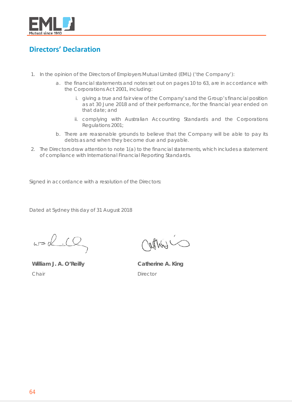

# <span id="page-64-0"></span>**Directors' Declaration**

- 1. In the opinion of the Directors of Employers Mutual Limited (EML) ('the Company'):
	- a. the financial statements and notes set out on pages 10 to 63, are in accordance with the Corporations Act 2001, including:
		- i. giving a true and fair view of the Company's and the Group's financial position as at 30 June 2018 and of their performance, for the financial year ended on that date; and
		- ii. complying with Australian Accounting Standards and the Corporations Regulations 2001;
	- b. There are reasonable grounds to believe that the Company will be able to pay its debts as and when they become due and payable.
- 2. The Directors draw attention to note 1(a) to the financial statements, which includes a statement of compliance with International Financial Reporting Standards.

Signed in accordance with a resolution of the Directors:

Dated at Sydney this day of 31 August 2018

 $w = 2.10$ 

**William J. A. O'Reilly** *Chair*

atthe

**Catherine A. King** *Director*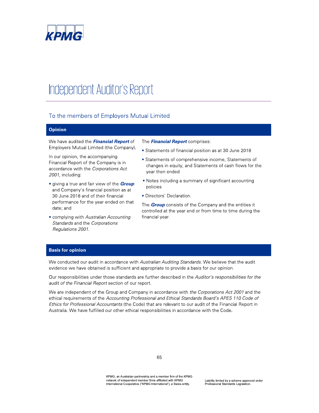

## To the members of Employers Mutual Limited

### Opinion

We have audited the *Financial Report* of Employers Mutual Limited (the Company).

In our opinion, the accompanying Financial Report of the Company is in accordance with the Corporations Act  $2001$ , including:

- **TO THE PERIMENT ANNOVATE CONSUMING ACCOUNT AND CONSUMING A CONSUMING A CONSUMING A CONSUMING A CONSUMING A CONSUMING A CONSUMING A CONSUMING A CONSUMING A CONSUMING A CONSUMING A CONSUMING A CONSUMING A CONSUMING A CONSUM •** giving a true and fair view of the **Group** and Company's financial position as at 30 June 2018 and of their financial performance for the year ended on that date; and
	- complying with Australian Accounting Standards and the Corporations Regulations 2001.

### The **Financial Report** comprises:

- Statements of financial position as at 30 June 2018
- Statements of comprehensive income, Statements of changes in equity, and Statements of cash flows for the year then ended
- Notes including a summary of significant accounting policies
- Directors' Declaration.

The **Group** consists of the Company and the entities it controlled at the year end or from time to time during the financial year.

### **Basis for opinion**

We conducted our audit in accordance with Australian Auditing Standards. We believe that the audit evidence we have obtained is sufficient and appropriate to provide a basis for our opinion.

Our responsibilities under those standards are further described in the Auditor's responsibilities for the audit of the Financial Report section of our report.

We are independent of the Group and Company in accordance with the Corporations Act 2001 and the ethical requirements of the Accounting Professional and Ethical Standards Board's APES 110 Code of Ethics for Professional Accountants (the Code) that are relevant to our audit of the Financial Report in Australia. We have fulfilled our other ethical responsibilities in accordance with the Code.

KPMG, an Australian partnership and a member firm of the KPMG<br>network of independent member firms affiliated with KPMG international Cooperative ("KPMG international"), a Swiss entity.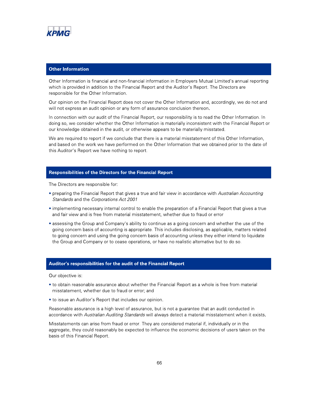

# **Other Information**

Other Information is financial and non-financial information in Employers Mutual Limited's annual reporting<br>which is provided in addition to the Financial Report and the Auditor's Report. The Directors are responsible for the Other Information.

Other Information is financial and non-financial information in Employers Mutual Limited's annual<br>
which is provided in addition to the Financial Report and the Auditor's Report. The Directors are<br>
responsible for the Othe Other Information<br>Other Information is financial and non-financial information in Employers Mutual Limited's annual reporting<br>which is provided in addition to the Financial Report and the Auditor's Report. The Directors ar

**Other Information**<br>
Other Information is financial and non-financial information in Employers Mutual<br>
which is provided in addition to the Financial Report and the Auditor's Report. The<br>
responsible for the Other Informat Other Information is financial and non-financial information in Employers Mutual Limited's annual reporting<br>
which is provided in addition to the Financial Report and the Auditor's Report. The Directors are<br>
responsible fo Other Information is financial and non-financial information in Employers Mutual Limited's annual reporting<br>which is provided in addition to the Financial Report and the Auditor's Report. The Directors are<br>responsible for which is provided in addition to the Financial Report and the Auditor's Report. The Direct responsible for the Other Information.<br>Our opinion on the Financial Report does not cover the Other Information and, according will responsible for the Other information.<br>Our opinion on the Financial Report does not cover the Other Information and, accordingly, we do not and<br>will not express an audit opinion or any form of assurance conclusion thereon. Our opinion on the Financial Report does not cover the Other Information and, accordingly, we do not and<br>will not express an audit opinion or any form of assurance conclusion thereon.<br>In connection with our audit of the Fi will not express an audit opinion or any form of as<br>
In connection with our audit of the Financial Repor<br>
doing so, we consider whether the Other Informat<br>
our knowledge obtained in the audit, or otherwise<br>
We are required

### Responsibilities of the Directors for the Financial Report

The Directors are responsible for:

- Standards and the Corporations Act 2001
- implementing necessary internal control to enable the preparation of a Financial Report that gives a true<br>and fair view and is free from material misstatement, whether due to fraud or error
- this Auditor's Report we have nothing to report.<br> **Responsibilities of the Directors for the Financial Report**<br>
The Directors are responsible for:<br>
 preparing the Financial Report that gives a true and fair view in accord **Responsibilities of the Directors for the Financial Report**<br>
The Directors are responsible for:<br>
• preparing the Financial Report that gives a true and fair view in accordance with *Aust*.<br> *Standards* and the *Corporatio* The Directors are responsible for:<br>
• preparing the Financial Report that gives a true and fair view in accordance with *Australian Accounting*<br> *Standards* and the *Corporations Act 2001*<br>
• implementing necessary interna going concern basis of accounting is appropriate. This includes disclosing, as applicable, matters related to going concern and using the going concern basis of accounting unless they either intend to liquidate the Group and Company or to cease operations, or have no realistic alternative but to do so.

### Auditor's responsibilities for the audit of the Financial Report

Our objective is:

- 
- to issue an Auditor's Report that includes our opinion.

Reasonable assurance is a high level of assurance, but is not a guarantee that an audit conducted in<br>accordance with Australian Auditing Standards will always detect a material misstatement when it exists.

the Group and Company or to cease operations, or have no realistic alternative but to do so.<br> **Auditor's responsibilities for the audit of the Financial Report**<br>
Our objective is:<br>
• to obtain reasonable assurance about wh **Auditor's responsibilities for the audit of the Finan**<br>Our objective is:<br>• to obtain reasonable assurance about whether the F<br>misstatement, whether due to fraud or error; and<br>• to issue an Auditor's Report that includes o Our objective is:<br>
• to obtain reasonable assurance about whether the Financial Report as a whole is free from material<br>
misstatement, whether due to fraud or error; and<br>
• to issue an Auditor's Report that includes our op Misstatements can arise from fraud or error. They are considered material if, individually or in the aggregate, they could reasonably be expected to influence the economic decisions of users taken on the basis of this Financial Report.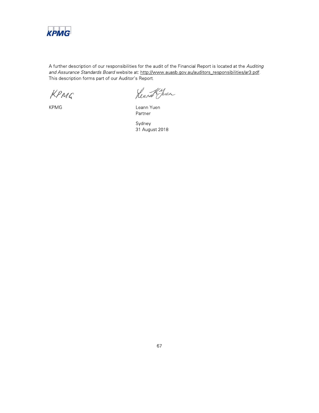

A further description of our responsibilities for the audit of the Financial Report is located at the Auditing and Assurance Standards Board website at: http://www.auasb.gov.au/auditors responsibilities/ar3.pdf. This description forms part of our Auditor's Report.

KPMG

**KPMG** 

Rearch Juen

Leann Yuen Partner

Sydney 31 August 2018